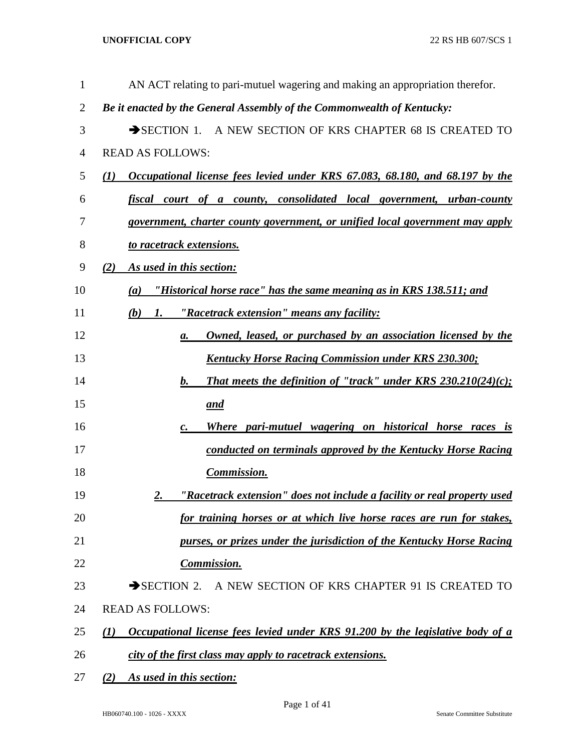| 1              | AN ACT relating to pari-mutuel wagering and making an appropriation therefor.                |
|----------------|----------------------------------------------------------------------------------------------|
| $\overline{2}$ | Be it enacted by the General Assembly of the Commonwealth of Kentucky:                       |
| 3              | SECTION 1. A NEW SECTION OF KRS CHAPTER 68 IS CREATED TO                                     |
| 4              | <b>READ AS FOLLOWS:</b>                                                                      |
| 5              | Occupational license fees levied under KRS 67.083, 68.180, and 68.197 by the<br>(1)          |
| 6              | fiscal court of a county, consolidated local government, urban-county                        |
| 7              | government, charter county government, or unified local government may apply                 |
| 8              | to racetrack extensions.                                                                     |
| 9              | As used in this section:<br>(2)                                                              |
| 10             | "Historical horse race" has the same meaning as in KRS 138.511; and<br>(a)                   |
| 11             | <u>"Racetrack extension" means any facility:</u><br>$(b)$ 1.                                 |
| 12             | Owned, leased, or purchased by an association licensed by the<br>а.                          |
| 13             | <b>Kentucky Horse Racing Commission under KRS 230.300;</b>                                   |
| 14             | That meets the definition of "track" under KRS 230.210(24)(c);<br>$\bm{b}$ .                 |
| 15             | <u>and</u>                                                                                   |
| 16             | Where pari-mutuel wagering on historical horse races is<br>$\boldsymbol{c}$ .                |
| 17             | conducted on terminals approved by the Kentucky Horse Racing                                 |
| 18             | <b>Commission.</b>                                                                           |
| 19             | "Racetrack extension" does not include a facility or real property used<br>2.                |
| 20             | for training horses or at which live horse races are run for stakes,                         |
| 21             | purses, or prizes under the jurisdiction of the Kentucky Horse Racing                        |
| 22             | <b>Commission.</b>                                                                           |
| 23             | $\rightarrow$ SECTION 2.<br>A NEW SECTION OF KRS CHAPTER 91 IS CREATED TO                    |
| 24             | <b>READ AS FOLLOWS:</b>                                                                      |
| 25             | <u>Occupational license fees levied under KRS 91.200 by the legislative body of a</u><br>(I) |
| 26             | city of the first class may apply to racetrack extensions.                                   |
| 27             | As used in this section:<br>(2)                                                              |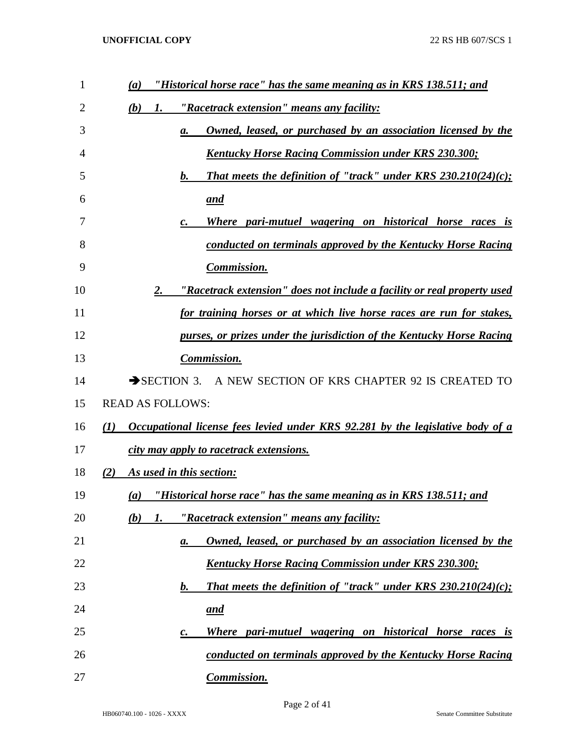| $\mathbf{1}$ | "Historical horse race" has the same meaning as in KRS 138.511; and<br>$\left(a\right)$            |
|--------------|----------------------------------------------------------------------------------------------------|
| 2            | <u>"Racetrack extension" means any facility:</u><br>(b)<br>1.                                      |
| 3            | <b>Owned, leased, or purchased by an association licensed by the</b><br>а.                         |
| 4            | <u><b>Kentucky Horse Racing Commission under KRS 230.300;</b></u>                                  |
| 5            | That meets the definition of "track" under KRS $230.210(24)(c)$ ;<br>b.                            |
| 6            | <u>and</u>                                                                                         |
| 7            | Where pari-mutuel wagering on historical horse races is<br>$\boldsymbol{c}$ .                      |
| 8            | conducted on terminals approved by the Kentucky Horse Racing                                       |
| 9            | <b>Commission.</b>                                                                                 |
| 10           | "Racetrack extension" does not include a facility or real property used<br><u>2.</u>               |
| 11           | for training horses or at which live horse races are run for stakes,                               |
| 12           | purses, or prizes under the jurisdiction of the Kentucky Horse Racing                              |
| 13           | <b>Commission.</b>                                                                                 |
| 14           | SECTION 3. A NEW SECTION OF KRS CHAPTER 92 IS CREATED TO                                           |
| 15           | <b>READ AS FOLLOWS:</b>                                                                            |
| 16           | Occupational license fees levied under KRS 92.281 by the legislative body of a<br>$\mathcal{L}(I)$ |
| 17           | city may apply to racetrack extensions.                                                            |
| 18           | As used in this section:<br>(2)                                                                    |
| 19           | "Historical horse race" has the same meaning as in KRS 138.511; and<br>$\left( a\right)$           |
| 20           | "Racetrack extension" means any facility:<br>(b)<br>1.                                             |
| 21           | Owned, leased, or purchased by an association licensed by the<br>а.                                |
| 22           | <u><b>Kentucky Horse Racing Commission under KRS 230.300;</b></u>                                  |
| 23           | That meets the definition of "track" under KRS $230.210(24)(c)$ ;<br>b.                            |
| 24           | <u>and</u>                                                                                         |
| 25           | <u>Where pari-mutuel wagering on historical horse races is</u><br>с.                               |
| 26           | conducted on terminals approved by the Kentucky Horse Racing                                       |
| 27           | Commission.                                                                                        |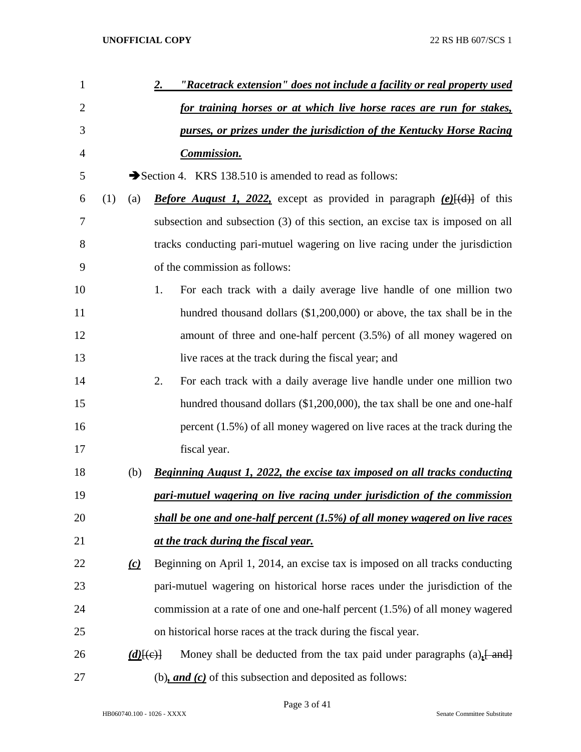| $\mathbf{1}$   |     |               | "Racetrack extension" does not include a facility or real property used<br>2.                      |
|----------------|-----|---------------|----------------------------------------------------------------------------------------------------|
| $\overline{2}$ |     |               | for training horses or at which live horse races are run for stakes,                               |
| 3              |     |               | purses, or prizes under the jurisdiction of the Kentucky Horse Racing                              |
| 4              |     |               | <b>Commission.</b>                                                                                 |
| 5              |     |               | Section 4. KRS 138.510 is amended to read as follows:                                              |
| 6              | (1) | (a)           | <b>Before August 1, 2022,</b> except as provided in paragraph $(e)$ $[(d)]$ of this                |
| 7              |     |               | subsection and subsection (3) of this section, an excise tax is imposed on all                     |
| 8              |     |               | tracks conducting pari-mutuel wagering on live racing under the jurisdiction                       |
| 9              |     |               | of the commission as follows:                                                                      |
| 10             |     |               | For each track with a daily average live handle of one million two<br>1.                           |
| 11             |     |               | hundred thousand dollars $(\$1,200,000)$ or above, the tax shall be in the                         |
| 12             |     |               | amount of three and one-half percent $(3.5%)$ of all money wagered on                              |
| 13             |     |               | live races at the track during the fiscal year; and                                                |
| 14             |     |               | For each track with a daily average live handle under one million two<br>2.                        |
| 15             |     |               | hundred thousand dollars (\$1,200,000), the tax shall be one and one-half                          |
| 16             |     |               | percent $(1.5\%)$ of all money wagered on live races at the track during the                       |
| 17             |     |               | fiscal year.                                                                                       |
| 18             |     | (b)           | Beginning August 1, 2022, the excise tax imposed on all tracks conducting                          |
| 19             |     |               | pari-mutuel wagering on live racing under jurisdiction of the commission                           |
| 20             |     |               | shall be one and one-half percent (1.5%) of all money wagered on live races                        |
| 21             |     |               | at the track during the fiscal year.                                                               |
| 22             |     | (c)           | Beginning on April 1, 2014, an excise tax is imposed on all tracks conducting                      |
| 23             |     |               | pari-mutuel wagering on historical horse races under the jurisdiction of the                       |
| 24             |     |               | commission at a rate of one and one-half percent (1.5%) of all money wagered                       |
| 25             |     |               | on historical horse races at the track during the fiscal year.                                     |
| 26             |     | $(d)$ $\{e\}$ | Money shall be deducted from the tax paid under paragraphs $(a)$ , $\frac{1}{2}$ and $\frac{1}{2}$ |
| 27             |     |               | (b), and $(c)$ of this subsection and deposited as follows:                                        |

Page 3 of 41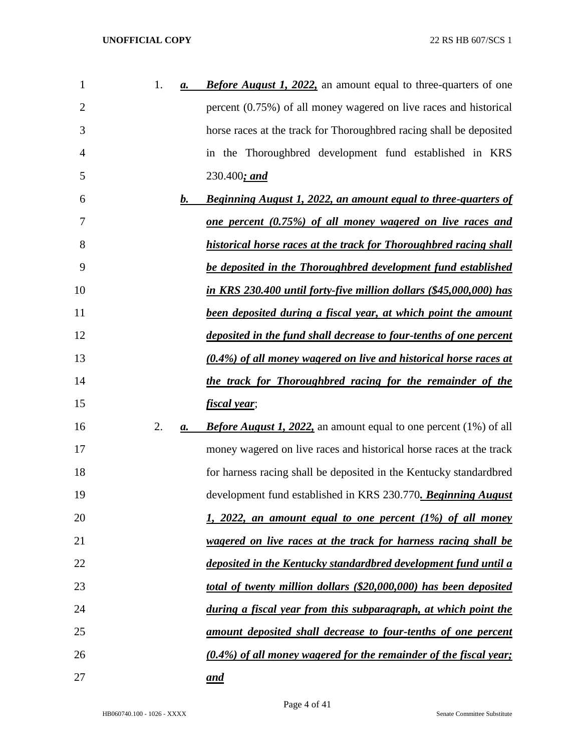| $\mathbf{1}$   | 1. | а. | <b>Before August 1, 2022,</b> an amount equal to three-quarters of one   |
|----------------|----|----|--------------------------------------------------------------------------|
| $\overline{2}$ |    |    | percent $(0.75\%)$ of all money wagered on live races and historical     |
| 3              |    |    | horse races at the track for Thoroughbred racing shall be deposited      |
| 4              |    |    | in the Thoroughbred development fund established in KRS                  |
| 5              |    |    | 230.400; and                                                             |
| 6              |    | b. | <b>Beginning August 1, 2022, an amount equal to three-quarters of</b>    |
| 7              |    |    | <u>one percent (0.75%) of all money wagered on live races and</u>        |
| 8              |    |    | historical horse races at the track for Thoroughbred racing shall        |
| 9              |    |    | be deposited in the Thoroughbred development fund established            |
| 10             |    |    | in KRS 230.400 until forty-five million dollars (\$45,000,000) has       |
| 11             |    |    | been deposited during a fiscal year, at which point the amount           |
| 12             |    |    | deposited in the fund shall decrease to four-tenths of one percent       |
| 13             |    |    | <u>(0.4%) of all money wagered on live and historical horse races at</u> |
| 14             |    |    | the track for Thoroughbred racing for the remainder of the               |
| 15             |    |    | <u>fiscal year;</u>                                                      |
| 16             | 2. | a. | <b>Before August 1, 2022,</b> an amount equal to one percent (1%) of all |
| 17             |    |    | money wagered on live races and historical horse races at the track      |
| 18             |    |    | for harness racing shall be deposited in the Kentucky standardbred       |
| 19             |    |    | development fund established in KRS 230.770. Beginning August            |
| 20             |    |    | <u>1, 2022, an amount equal to one percent (1%) of all money</u>         |
| 21             |    |    | <u>wagered on live races at the track for harness racing shall be</u>    |
| 22             |    |    | deposited in the Kentucky standardbred development fund until a          |
| 23             |    |    | total of twenty million dollars (\$20,000,000) has been deposited        |
| 24             |    |    | during a fiscal year from this subparagraph, at which point the          |
| 25             |    |    | <u>amount deposited shall decrease to four-tenths of one percent</u>     |
| 26             |    |    | <u>(0.4%) of all money wagered for the remainder of the fiscal year;</u> |
| 27             |    |    | <u>and</u>                                                               |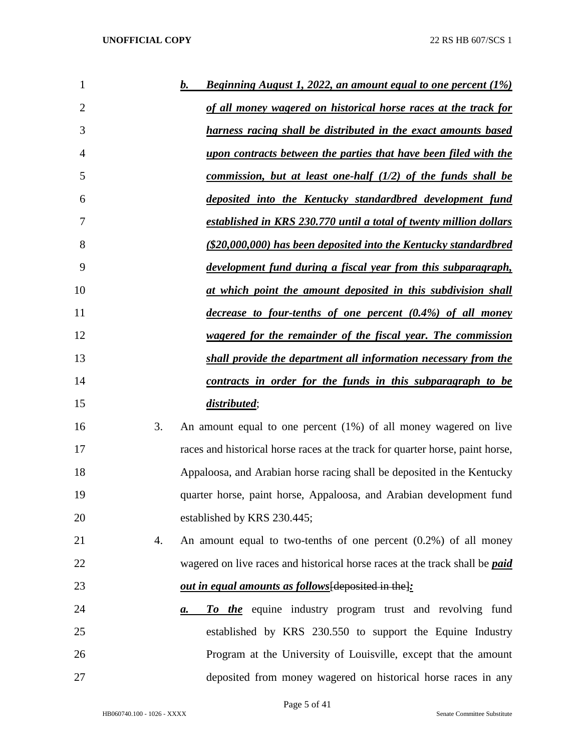| 1              |    | <u>Beginning August 1, 2022, an amount equal to one percent (1%)</u><br>b.         |
|----------------|----|------------------------------------------------------------------------------------|
| $\overline{2}$ |    | of all money wagered on historical horse races at the track for                    |
| 3              |    | harness racing shall be distributed in the exact amounts based                     |
| $\overline{4}$ |    | upon contracts between the parties that have been filed with the                   |
| 5              |    | commission, but at least one-half $(1/2)$ of the funds shall be                    |
| 6              |    | deposited into the Kentucky standardbred development fund                          |
| 7              |    | established in KRS 230.770 until a total of twenty million dollars                 |
| 8              |    | (\$20,000,000) has been deposited into the Kentucky standardbred                   |
| 9              |    | development fund during a fiscal year from this subparagraph,                      |
| 10             |    | at which point the amount deposited in this subdivision shall                      |
| 11             |    | decrease to four-tenths of one percent (0.4%) of all money                         |
| 12             |    | wagered for the remainder of the fiscal year. The commission                       |
| 13             |    | shall provide the department all information necessary from the                    |
| 14             |    | contracts in order for the funds in this subparagraph to be                        |
| 15             |    | distributed;                                                                       |
| 16             | 3. | An amount equal to one percent (1%) of all money wagered on live                   |
| 17             |    | races and historical horse races at the track for quarter horse, paint horse,      |
| 18             |    | Appaloosa, and Arabian horse racing shall be deposited in the Kentucky             |
| 19             |    | quarter horse, paint horse, Appaloosa, and Arabian development fund                |
| 20             |    | established by KRS 230.445;                                                        |
| 21             | 4. | An amount equal to two-tenths of one percent $(0.2%)$ of all money                 |
| 22             |    | wagered on live races and historical horse races at the track shall be <i>paid</i> |
| 23             |    | <i>out in equal amounts as follows</i> [deposited in the]:                         |
| 24             |    | To the equine industry program trust and revolving fund<br>а.                      |
| 25             |    | established by KRS 230.550 to support the Equine Industry                          |
| 26             |    | Program at the University of Louisville, except that the amount                    |
| 27             |    | deposited from money wagered on historical horse races in any                      |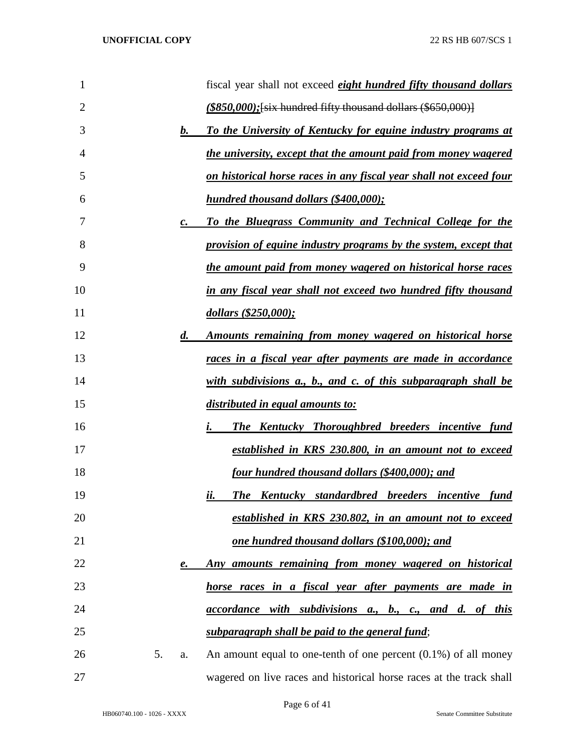| $\mathbf 1$ |    |                    | fiscal year shall not exceed <i>eight hundred fifty thousand dollars</i> |
|-------------|----|--------------------|--------------------------------------------------------------------------|
| 2           |    |                    | $($850,000)$ ; [six hundred fifty thousand dollars $($650,000)$ ]        |
| 3           |    | $\bm{b}$ .         | To the University of Kentucky for equine industry programs at            |
| 4           |    |                    | the university, except that the amount paid from money wagered           |
| 5           |    |                    | on historical horse races in any fiscal year shall not exceed four       |
| 6           |    |                    | hundred thousand dollars (\$400,000);                                    |
| 7           |    | $\mathbf{c}$ .     | To the Bluegrass Community and Technical College for the                 |
| 8           |    |                    | provision of equine industry programs by the system, except that         |
| 9           |    |                    | the amount paid from money wagered on historical horse races             |
| 10          |    |                    | in any fiscal year shall not exceed two hundred fifty thousand           |
| 11          |    |                    | dollars (\$250,000);                                                     |
| 12          |    | $\boldsymbol{d}$ . | Amounts remaining from money wagered on historical horse                 |
| 13          |    |                    | <u>races in a fiscal year after payments are made in accordance</u>      |
| 14          |    |                    | with subdivisions a., b., and c. of this subparagraph shall be           |
| 15          |    |                    | <u>distributed in equal amounts to:</u>                                  |
| 16          |    |                    | <b>The Kentucky Thoroughbred breeders incentive fund</b><br>i.           |
| 17          |    |                    | established in KRS 230.800, in an amount not to exceed                   |
| 18          |    |                    | four hundred thousand dollars (\$400,000); and                           |
| 19          |    |                    | <b>The Kentucky standardbred breeders incentive</b><br>fund<br>ii.       |
| 20          |    |                    | established in KRS 230.802, in an amount not to exceed                   |
| 21          |    |                    | one hundred thousand dollars (\$100,000); and                            |
| 22          |    | е.                 | Any amounts remaining from money wagered on historical                   |
| 23          |    |                    | horse races in a fiscal year after payments are made in                  |
| 24          |    |                    | <i>accordance with subdivisions a., b., c., and d. of this</i>           |
| 25          |    |                    | subparagraph shall be paid to the general fund;                          |
| 26          | 5. | a.                 | An amount equal to one-tenth of one percent $(0.1\%)$ of all money       |
| 27          |    |                    | wagered on live races and historical horse races at the track shall      |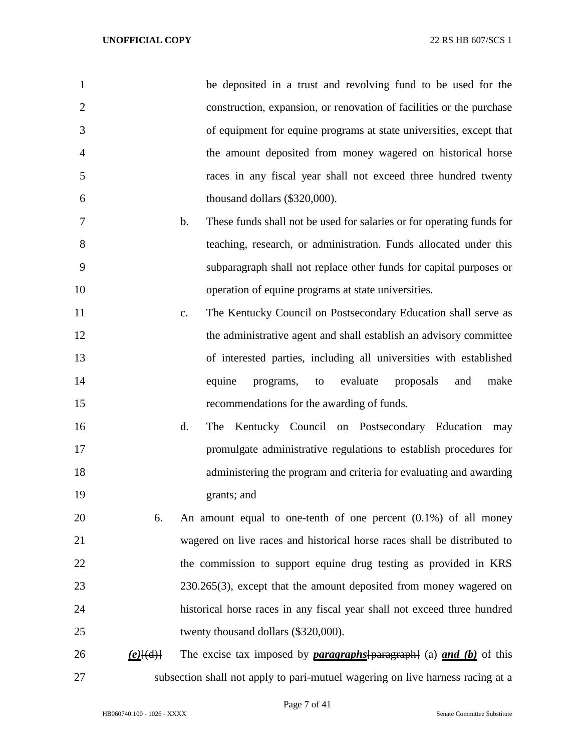| 1              |             | be deposited in a trust and revolving fund to be used for the                          |
|----------------|-------------|----------------------------------------------------------------------------------------|
| $\overline{2}$ |             | construction, expansion, or renovation of facilities or the purchase                   |
| 3              |             | of equipment for equine programs at state universities, except that                    |
| $\overline{4}$ |             | the amount deposited from money wagered on historical horse                            |
| 5              |             | races in any fiscal year shall not exceed three hundred twenty                         |
| 6              |             | thousand dollars (\$320,000).                                                          |
| 7              |             | These funds shall not be used for salaries or for operating funds for<br>$\mathbf b$ . |
| 8              |             | teaching, research, or administration. Funds allocated under this                      |
| 9              |             | subparagraph shall not replace other funds for capital purposes or                     |
| 10             |             | operation of equine programs at state universities.                                    |
| 11             |             | The Kentucky Council on Postsecondary Education shall serve as<br>$C_{\bullet}$        |
| 12             |             | the administrative agent and shall establish an advisory committee                     |
| 13             |             | of interested parties, including all universities with established                     |
| 14             |             | evaluate<br>equine<br>programs,<br>proposals<br>and<br>make<br>to                      |
| 15             |             | recommendations for the awarding of funds.                                             |
| 16             |             | d.<br>Kentucky Council on Postsecondary Education<br>The<br>may                        |
| 17             |             | promulgate administrative regulations to establish procedures for                      |
| 18             |             | administering the program and criteria for evaluating and awarding                     |
| 19             |             | grants; and                                                                            |
| 20             | 6.          | An amount equal to one-tenth of one percent $(0.1\%)$ of all money                     |
| 21             |             | wagered on live races and historical horse races shall be distributed to               |
| 22             |             | the commission to support equine drug testing as provided in KRS                       |
| 23             |             | $230.265(3)$ , except that the amount deposited from money wagered on                  |
| 24             |             | historical horse races in any fiscal year shall not exceed three hundred               |
| 25             |             | twenty thousand dollars (\$320,000).                                                   |
| 26             | $(e)$ [(d)] | The excise tax imposed by <b>paragraphs</b> $[paragraph]$ (a) <b>and (b)</b> of this   |
| 27             |             | subsection shall not apply to pari-mutuel wagering on live harness racing at a         |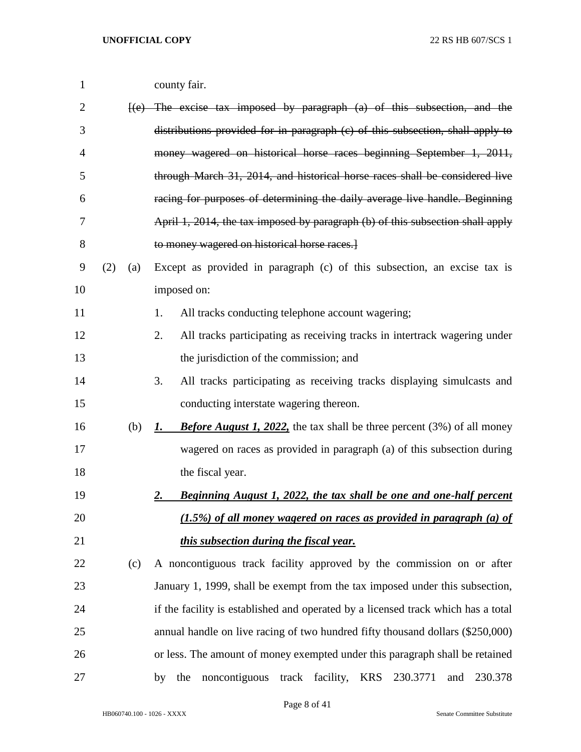| $\mathbf{1}$ |     |     | county fair.                                                                                 |
|--------------|-----|-----|----------------------------------------------------------------------------------------------|
| 2            |     |     | $\{e\}$ The excise tax imposed by paragraph (a) of this subsection, and the                  |
| 3            |     |     | distributions provided for in paragraph (c) of this subsection, shall apply to               |
| 4            |     |     | money wagered on historical horse races beginning September 1, 2011,                         |
| 5            |     |     | through March 31, 2014, and historical horse races shall be considered live                  |
| 6            |     |     | racing for purposes of determining the daily average live handle. Beginning                  |
| 7            |     |     | April 1, 2014, the tax imposed by paragraph (b) of this subsection shall apply               |
| 8            |     |     | to money wagered on historical horse races.                                                  |
| 9            | (2) | (a) | Except as provided in paragraph (c) of this subsection, an excise tax is                     |
| 10           |     |     | imposed on:                                                                                  |
| 11           |     |     | All tracks conducting telephone account wagering;<br>1.                                      |
| 12           |     |     | All tracks participating as receiving tracks in intertrack wagering under<br>2.              |
| 13           |     |     | the jurisdiction of the commission; and                                                      |
| 14           |     |     | 3.<br>All tracks participating as receiving tracks displaying simulcasts and                 |
| 15           |     |     | conducting interstate wagering thereon.                                                      |
| 16           |     | (b) | <b>Before August 1, 2022,</b> the tax shall be three percent (3%) of all money<br><i>l</i> . |
| 17           |     |     | wagered on races as provided in paragraph (a) of this subsection during                      |
| 18           |     |     | the fiscal year.                                                                             |
| 19           |     |     | <b>Beginning August 1, 2022, the tax shall be one and one-half percent</b><br><u>2.</u>      |
| 20           |     |     | $(1.5\%)$ of all money wagered on races as provided in paragraph (a) of                      |
| 21           |     |     | this subsection during the fiscal year.                                                      |
| 22           |     | (c) | A noncontiguous track facility approved by the commission on or after                        |
| 23           |     |     | January 1, 1999, shall be exempt from the tax imposed under this subsection,                 |
| 24           |     |     | if the facility is established and operated by a licensed track which has a total            |
| 25           |     |     | annual handle on live racing of two hundred fifty thousand dollars (\$250,000)               |
| 26           |     |     | or less. The amount of money exempted under this paragraph shall be retained                 |
| 27           |     |     | noncontiguous<br><b>KRS</b><br>230.3771<br>230.378<br>track<br>facility,<br>the<br>and<br>by |

Page 8 of 41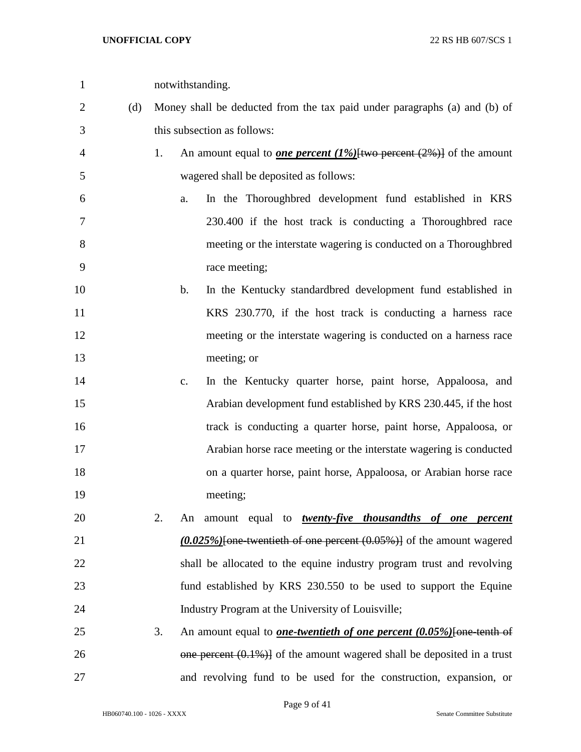| $\mathbf{1}$ |     |    | notwithstanding.                                                                    |
|--------------|-----|----|-------------------------------------------------------------------------------------|
| 2            | (d) |    | Money shall be deducted from the tax paid under paragraphs (a) and (b) of           |
| 3            |     |    | this subsection as follows:                                                         |
| 4            |     | 1. | An amount equal to <b>one percent</b> (1%) [two percent $(2%)$ ] of the amount      |
| 5            |     |    | wagered shall be deposited as follows:                                              |
| 6            |     |    | In the Thoroughbred development fund established in KRS<br>a.                       |
| 7            |     |    | 230.400 if the host track is conducting a Thoroughbred race                         |
| 8            |     |    | meeting or the interstate wagering is conducted on a Thoroughbred                   |
| 9            |     |    | race meeting;                                                                       |
| 10           |     |    | In the Kentucky standardbred development fund established in<br>$\mathbf{b}$ .      |
| 11           |     |    | KRS 230.770, if the host track is conducting a harness race                         |
| 12           |     |    | meeting or the interstate wagering is conducted on a harness race                   |
| 13           |     |    | meeting; or                                                                         |
| 14           |     |    | In the Kentucky quarter horse, paint horse, Appaloosa, and<br>c.                    |
| 15           |     |    | Arabian development fund established by KRS 230.445, if the host                    |
| 16           |     |    | track is conducting a quarter horse, paint horse, Appaloosa, or                     |
| 17           |     |    | Arabian horse race meeting or the interstate wagering is conducted                  |
| 18           |     |    | on a quarter horse, paint horse, Appaloosa, or Arabian horse race                   |
| 19           |     |    | meeting;                                                                            |
| 20           |     | 2. | An amount equal to <b>twenty-five thousandths of one percent</b>                    |
| 21           |     |    | $(0.025\%)$ [one-twentieth of one percent $(0.05\%)$ ] of the amount wagered        |
| 22           |     |    | shall be allocated to the equine industry program trust and revolving               |
| 23           |     |    | fund established by KRS 230.550 to be used to support the Equine                    |
| 24           |     |    | Industry Program at the University of Louisville;                                   |
| 25           |     | 3. | An amount equal to <b><i>one-twentieth of one percent</i></b> (0.05%) [one-tenth of |
| 26           |     |    | $\theta$ one percent (0.1%)] of the amount wagered shall be deposited in a trust    |
| 27           |     |    | and revolving fund to be used for the construction, expansion, or                   |

Page 9 of 41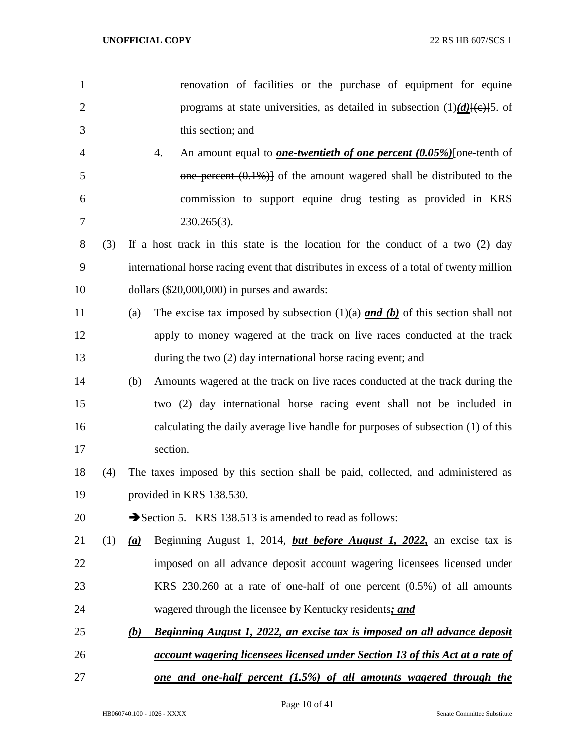| 1              |     | renovation of facilities or the purchase of equipment for equine                          |
|----------------|-----|-------------------------------------------------------------------------------------------|
| $\overline{2}$ |     | programs at state universities, as detailed in subsection $(1)(d)$ [(e)]5. of             |
| 3              |     | this section; and                                                                         |
| 4              |     | 4.<br>An amount equal to <b><i>one-twentieth of one percent</i></b> (0.05%) [one-tenth of |
| 5              |     | one percent $(0.1\%)$ of the amount wagered shall be distributed to the                   |
| 6              |     | commission to support equine drug testing as provided in KRS                              |
| 7              |     | $230.265(3)$ .                                                                            |
| 8              | (3) | If a host track in this state is the location for the conduct of a two (2) day            |
| 9              |     | international horse racing event that distributes in excess of a total of twenty million  |
| 10             |     | dollars $(\$20,000,000)$ in purses and awards:                                            |
| 11             |     | The excise tax imposed by subsection $(1)(a)$ and $(b)$ of this section shall not<br>(a)  |
| 12             |     | apply to money wagered at the track on live races conducted at the track                  |
| 13             |     | during the two (2) day international horse racing event; and                              |
| 14             |     | Amounts wagered at the track on live races conducted at the track during the<br>(b)       |
| 15             |     | two (2) day international horse racing event shall not be included in                     |
| 16             |     | calculating the daily average live handle for purposes of subsection (1) of this          |
| 17             |     | section.                                                                                  |
| 18             | (4) | The taxes imposed by this section shall be paid, collected, and administered as           |
| 19             |     | provided in KRS 138.530.                                                                  |
| 20             |     | Section 5. KRS 138.513 is amended to read as follows:                                     |
| 21             | (1) | Beginning August 1, 2014, <i>but before August 1</i> , 2022, an excise tax is<br>(a)      |
| 22             |     | imposed on all advance deposit account wagering licensees licensed under                  |
| 23             |     | KRS $230.260$ at a rate of one-half of one percent $(0.5\%)$ of all amounts               |
| 24             |     | wagered through the licensee by Kentucky residents; and                                   |
| 25             |     | <b>Beginning August 1, 2022, an excise tax is imposed on all advance deposit</b><br>(b)   |
| 26             |     | <u>account wagering licensees licensed under Section 13 of this Act at a rate of</u>      |
| 27             |     | <u>one and one-half percent (1.5%) of all amounts wagered through the</u>                 |

Page 10 of 41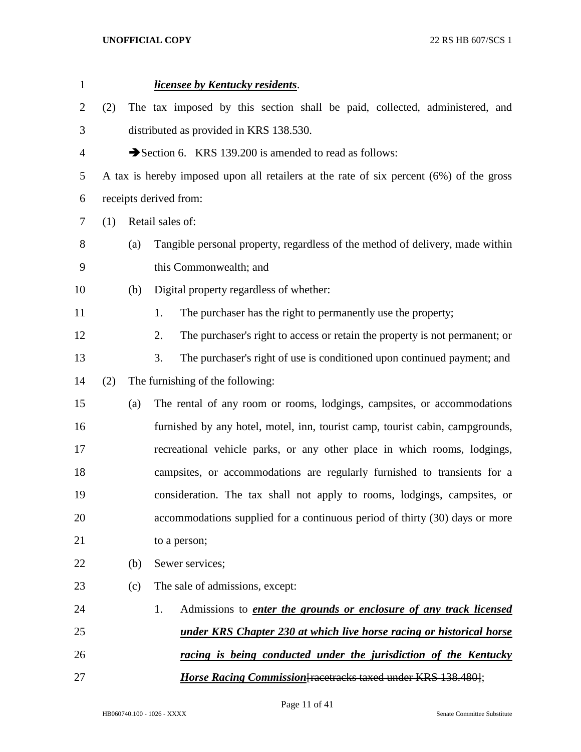| $\mathbf{1}$   |     |     | licensee by Kentucky residents.                                                         |
|----------------|-----|-----|-----------------------------------------------------------------------------------------|
| $\overline{2}$ | (2) |     | The tax imposed by this section shall be paid, collected, administered, and             |
| 3              |     |     | distributed as provided in KRS 138.530.                                                 |
| $\overline{4}$ |     |     | Section 6. KRS 139.200 is amended to read as follows:                                   |
| 5              |     |     | A tax is hereby imposed upon all retailers at the rate of six percent (6%) of the gross |
| 6              |     |     | receipts derived from:                                                                  |
| 7              | (1) |     | Retail sales of:                                                                        |
| 8              |     | (a) | Tangible personal property, regardless of the method of delivery, made within           |
| 9              |     |     | this Commonwealth; and                                                                  |
| 10             |     | (b) | Digital property regardless of whether:                                                 |
| 11             |     |     | The purchaser has the right to permanently use the property;<br>1.                      |
| 12             |     |     | 2.<br>The purchaser's right to access or retain the property is not permanent; or       |
| 13             |     |     | 3.<br>The purchaser's right of use is conditioned upon continued payment; and           |
| 14             | (2) |     | The furnishing of the following:                                                        |
| 15             |     | (a) | The rental of any room or rooms, lodgings, campsites, or accommodations                 |
| 16             |     |     | furnished by any hotel, motel, inn, tourist camp, tourist cabin, campgrounds,           |
| 17             |     |     | recreational vehicle parks, or any other place in which rooms, lodgings,                |
| 18             |     |     | campsites, or accommodations are regularly furnished to transients for a                |
| 19             |     |     | consideration. The tax shall not apply to rooms, lodgings, campsites, or                |
| 20             |     |     | accommodations supplied for a continuous period of thirty (30) days or more             |
| 21             |     |     | to a person;                                                                            |
| 22             |     | (b) | Sewer services;                                                                         |
| 23             |     | (c) | The sale of admissions, except:                                                         |
| 24             |     |     | 1.<br>Admissions to <i>enter the grounds or enclosure of any track licensed</i>         |
| 25             |     |     | <u>under KRS Chapter 230 at which live horse racing or historical horse</u>             |
| 26             |     |     | racing is being conducted under the jurisdiction of the Kentucky                        |
| 27             |     |     | <b>Horse Racing Commission</b> [racetracks taxed under KRS 138.480];                    |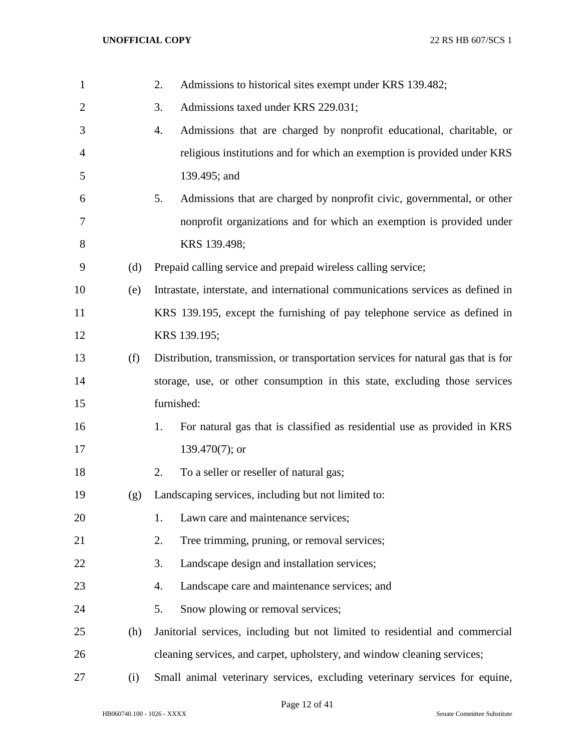| $\mathbf{1}$   |     | 2.<br>Admissions to historical sites exempt under KRS 139.482;                     |
|----------------|-----|------------------------------------------------------------------------------------|
| $\overline{c}$ |     | Admissions taxed under KRS 229.031;<br>3.                                          |
| 3              |     | Admissions that are charged by nonprofit educational, charitable, or<br>4.         |
| 4              |     | religious institutions and for which an exemption is provided under KRS            |
| 5              |     | 139.495; and                                                                       |
| 6              |     | Admissions that are charged by nonprofit civic, governmental, or other<br>5.       |
| 7              |     | nonprofit organizations and for which an exemption is provided under               |
| 8              |     | KRS 139.498;                                                                       |
| 9              | (d) | Prepaid calling service and prepaid wireless calling service;                      |
| 10             | (e) | Intrastate, interstate, and international communications services as defined in    |
| 11             |     | KRS 139.195, except the furnishing of pay telephone service as defined in          |
| 12             |     | KRS 139.195;                                                                       |
| 13             | (f) | Distribution, transmission, or transportation services for natural gas that is for |
| 14             |     | storage, use, or other consumption in this state, excluding those services         |
| 15             |     | furnished:                                                                         |
| 16             |     | For natural gas that is classified as residential use as provided in KRS<br>1.     |
| 17             |     | 139.470 $(7)$ ; or                                                                 |
| 18             |     | To a seller or reseller of natural gas;<br>2.                                      |
| 19             | (g) | Landscaping services, including but not limited to:                                |
| 20             |     | Lawn care and maintenance services;<br>1.                                          |
| 21             |     | Tree trimming, pruning, or removal services;<br>2.                                 |
| 22             |     | Landscape design and installation services;<br>3.                                  |
| 23             |     | Landscape care and maintenance services; and<br>4.                                 |
| 24             |     | Snow plowing or removal services;<br>5.                                            |
| 25             | (h) | Janitorial services, including but not limited to residential and commercial       |
| 26             |     | cleaning services, and carpet, upholstery, and window cleaning services;           |
| 27             | (i) | Small animal veterinary services, excluding veterinary services for equine,        |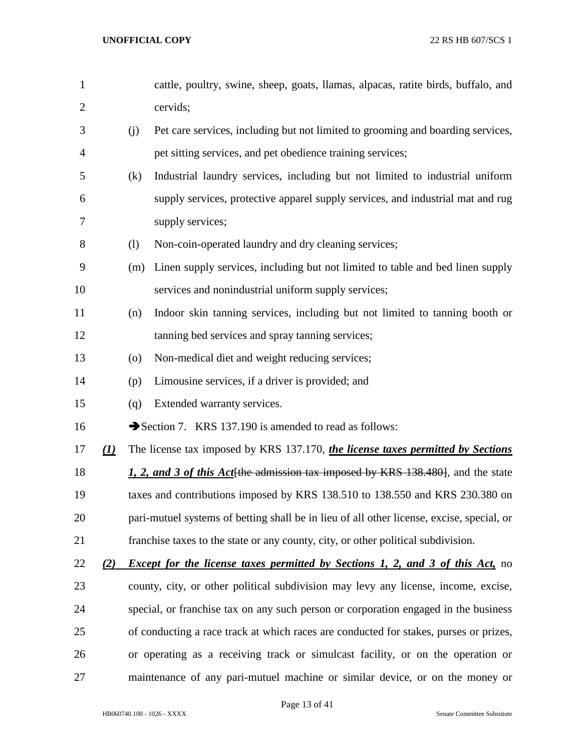| $\mathbf{1}$   |                        |                    | cattle, poultry, swine, sheep, goats, llamas, alpacas, ratite birds, buffalo, and         |
|----------------|------------------------|--------------------|-------------------------------------------------------------------------------------------|
| $\overline{2}$ |                        |                    | cervids;                                                                                  |
| 3              |                        | (j)                | Pet care services, including but not limited to grooming and boarding services,           |
| 4              |                        |                    | pet sitting services, and pet obedience training services;                                |
| 5              |                        | (k)                | Industrial laundry services, including but not limited to industrial uniform              |
| 6              |                        |                    | supply services, protective apparel supply services, and industrial mat and rug           |
| 7              |                        |                    | supply services;                                                                          |
| 8              |                        | (1)                | Non-coin-operated laundry and dry cleaning services;                                      |
| 9              |                        | (m)                | Linen supply services, including but not limited to table and bed linen supply            |
| 10             |                        |                    | services and nonindustrial uniform supply services;                                       |
| 11             |                        | (n)                | Indoor skin tanning services, including but not limited to tanning booth or               |
| 12             |                        |                    | tanning bed services and spray tanning services;                                          |
| 13             |                        | $\left( 0 \right)$ | Non-medical diet and weight reducing services;                                            |
| 14             |                        | (p)                | Limousine services, if a driver is provided; and                                          |
| 15             |                        | (q)                | Extended warranty services.                                                               |
| 16             |                        |                    | Section 7. KRS 137.190 is amended to read as follows:                                     |
| 17             | $\underline{(\bf{1})}$ |                    | The license tax imposed by KRS 137.170, the license taxes permitted by Sections           |
| 18             |                        |                    | 1, 2, and 3 of this Act the admission tax imposed by KRS 138.480, and the state           |
| 19             |                        |                    | taxes and contributions imposed by KRS 138.510 to 138.550 and KRS 230.380 on              |
| 20             |                        |                    | pari-mutuel systems of betting shall be in lieu of all other license, excise, special, or |
| 21             |                        |                    | franchise taxes to the state or any county, city, or other political subdivision.         |
| 22             | (2)                    |                    | <b>Except for the license taxes permitted by Sections 1, 2, and 3 of this Act, no</b>     |
| 23             |                        |                    | county, city, or other political subdivision may levy any license, income, excise,        |
| 24             |                        |                    | special, or franchise tax on any such person or corporation engaged in the business       |
| 25             |                        |                    | of conducting a race track at which races are conducted for stakes, purses or prizes,     |
| 26             |                        |                    | or operating as a receiving track or simulcast facility, or on the operation or           |
| 27             |                        |                    | maintenance of any pari-mutuel machine or similar device, or on the money or              |

Page 13 of 41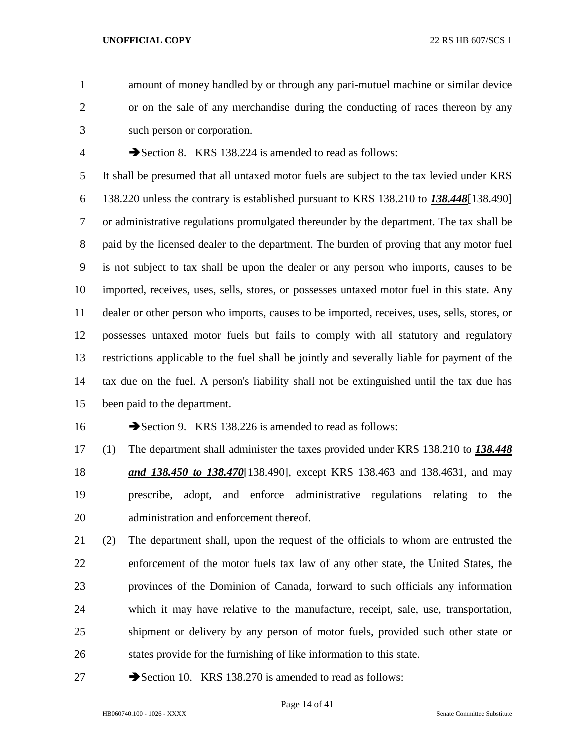amount of money handled by or through any pari-mutuel machine or similar device or on the sale of any merchandise during the conducting of races thereon by any such person or corporation.

4 Section 8. KRS 138.224 is amended to read as follows:

 It shall be presumed that all untaxed motor fuels are subject to the tax levied under KRS 138.220 unless the contrary is established pursuant to KRS 138.210 to *138.448*[138.490] or administrative regulations promulgated thereunder by the department. The tax shall be paid by the licensed dealer to the department. The burden of proving that any motor fuel is not subject to tax shall be upon the dealer or any person who imports, causes to be imported, receives, uses, sells, stores, or possesses untaxed motor fuel in this state. Any dealer or other person who imports, causes to be imported, receives, uses, sells, stores, or possesses untaxed motor fuels but fails to comply with all statutory and regulatory restrictions applicable to the fuel shall be jointly and severally liable for payment of the tax due on the fuel. A person's liability shall not be extinguished until the tax due has been paid to the department.

16 Section 9. KRS 138.226 is amended to read as follows:

 (1) The department shall administer the taxes provided under KRS 138.210 to *138.448 and 138.450 to 138.470*[138.490], except KRS 138.463 and 138.4631, and may prescribe, adopt, and enforce administrative regulations relating to the administration and enforcement thereof.

- (2) The department shall, upon the request of the officials to whom are entrusted the enforcement of the motor fuels tax law of any other state, the United States, the provinces of the Dominion of Canada, forward to such officials any information which it may have relative to the manufacture, receipt, sale, use, transportation, shipment or delivery by any person of motor fuels, provided such other state or states provide for the furnishing of like information to this state.
- 27 Section 10. KRS 138.270 is amended to read as follows: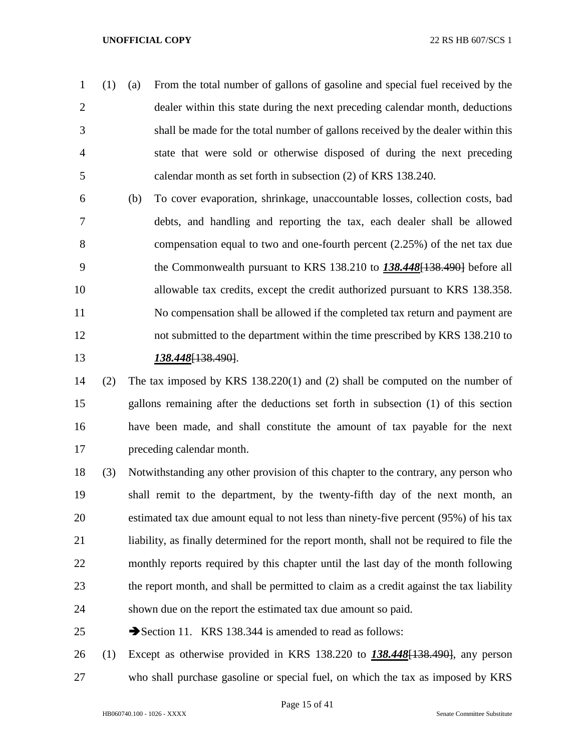- (1) (a) From the total number of gallons of gasoline and special fuel received by the dealer within this state during the next preceding calendar month, deductions shall be made for the total number of gallons received by the dealer within this state that were sold or otherwise disposed of during the next preceding calendar month as set forth in subsection (2) of KRS 138.240.
- (b) To cover evaporation, shrinkage, unaccountable losses, collection costs, bad debts, and handling and reporting the tax, each dealer shall be allowed compensation equal to two and one-fourth percent (2.25%) of the net tax due the Commonwealth pursuant to KRS 138.210 to *138.448*[138.490] before all allowable tax credits, except the credit authorized pursuant to KRS 138.358. No compensation shall be allowed if the completed tax return and payment are not submitted to the department within the time prescribed by KRS 138.210 to *138.448*[138.490].
- (2) The tax imposed by KRS 138.220(1) and (2) shall be computed on the number of gallons remaining after the deductions set forth in subsection (1) of this section have been made, and shall constitute the amount of tax payable for the next preceding calendar month.
- (3) Notwithstanding any other provision of this chapter to the contrary, any person who shall remit to the department, by the twenty-fifth day of the next month, an estimated tax due amount equal to not less than ninety-five percent (95%) of his tax liability, as finally determined for the report month, shall not be required to file the monthly reports required by this chapter until the last day of the month following the report month, and shall be permitted to claim as a credit against the tax liability shown due on the report the estimated tax due amount so paid.
- 25 Section 11. KRS 138.344 is amended to read as follows:
- (1) Except as otherwise provided in KRS 138.220 to *138.448*[138.490], any person who shall purchase gasoline or special fuel, on which the tax as imposed by KRS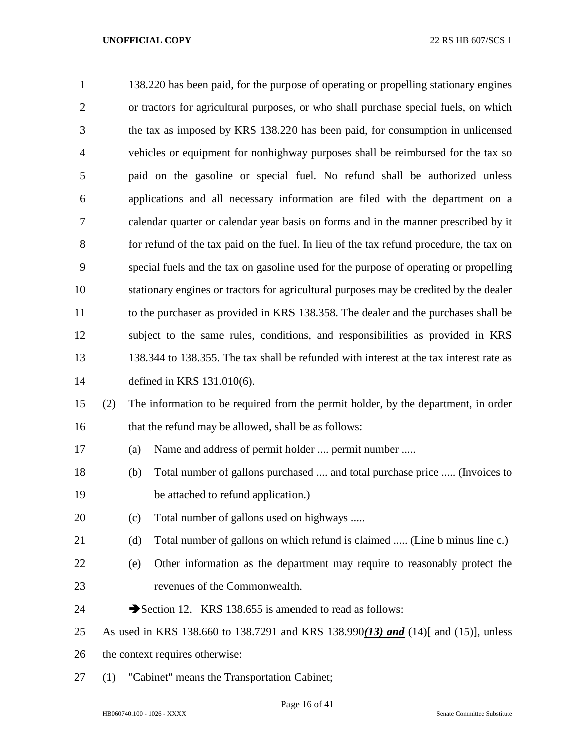| $\mathbf{1}$   |     | 138.220 has been paid, for the purpose of operating or propelling stationary engines    |
|----------------|-----|-----------------------------------------------------------------------------------------|
| $\overline{2}$ |     | or tractors for agricultural purposes, or who shall purchase special fuels, on which    |
| 3              |     | the tax as imposed by KRS 138.220 has been paid, for consumption in unlicensed          |
| $\overline{4}$ |     | vehicles or equipment for nonhighway purposes shall be reimbursed for the tax so        |
| 5              |     | paid on the gasoline or special fuel. No refund shall be authorized unless              |
| 6              |     | applications and all necessary information are filed with the department on a           |
| 7              |     | calendar quarter or calendar year basis on forms and in the manner prescribed by it     |
| 8              |     | for refund of the tax paid on the fuel. In lieu of the tax refund procedure, the tax on |
| 9              |     | special fuels and the tax on gasoline used for the purpose of operating or propelling   |
| 10             |     | stationary engines or tractors for agricultural purposes may be credited by the dealer  |
| 11             |     | to the purchaser as provided in KRS 138.358. The dealer and the purchases shall be      |
| 12             |     | subject to the same rules, conditions, and responsibilities as provided in KRS          |
| 13             |     | 138.344 to 138.355. The tax shall be refunded with interest at the tax interest rate as |
| 14             |     | defined in KRS 131.010(6).                                                              |
| 15             | (2) | The information to be required from the permit holder, by the department, in order      |
| 16             |     | that the refund may be allowed, shall be as follows:                                    |
| 17             |     | Name and address of permit holder  permit number<br>(a)                                 |
| 18             |     | Total number of gallons purchased  and total purchase price  (Invoices to<br>(b)        |
| 19             |     | be attached to refund application.)                                                     |

- (c) Total number of gallons used on highways .....
- 21 (d) Total number of gallons on which refund is claimed ..... (Line b minus line c.)
- (e) Other information as the department may require to reasonably protect the revenues of the Commonwealth.
- 24 Section 12. KRS 138.655 is amended to read as follows:
- 25 As used in KRS 138.660 to 138.7291 and KRS 138.990(13) and (14) and (15), unless
- the context requires otherwise:
- (1) "Cabinet" means the Transportation Cabinet;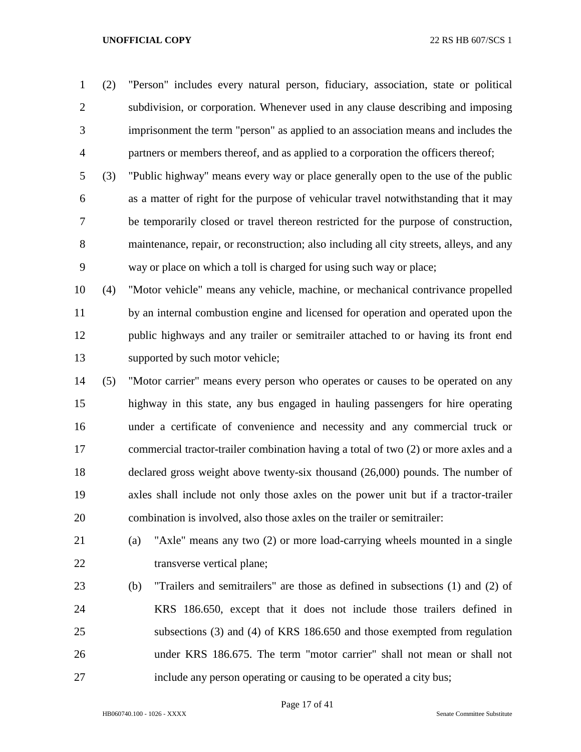(2) "Person" includes every natural person, fiduciary, association, state or political subdivision, or corporation. Whenever used in any clause describing and imposing imprisonment the term "person" as applied to an association means and includes the partners or members thereof, and as applied to a corporation the officers thereof;

 (3) "Public highway" means every way or place generally open to the use of the public as a matter of right for the purpose of vehicular travel notwithstanding that it may be temporarily closed or travel thereon restricted for the purpose of construction, maintenance, repair, or reconstruction; also including all city streets, alleys, and any way or place on which a toll is charged for using such way or place;

 (4) "Motor vehicle" means any vehicle, machine, or mechanical contrivance propelled by an internal combustion engine and licensed for operation and operated upon the public highways and any trailer or semitrailer attached to or having its front end supported by such motor vehicle;

- (5) "Motor carrier" means every person who operates or causes to be operated on any highway in this state, any bus engaged in hauling passengers for hire operating under a certificate of convenience and necessity and any commercial truck or commercial tractor-trailer combination having a total of two (2) or more axles and a declared gross weight above twenty-six thousand (26,000) pounds. The number of axles shall include not only those axles on the power unit but if a tractor-trailer combination is involved, also those axles on the trailer or semitrailer:
- (a) "Axle" means any two (2) or more load-carrying wheels mounted in a single 22 transverse vertical plane;
- (b) "Trailers and semitrailers" are those as defined in subsections (1) and (2) of KRS 186.650, except that it does not include those trailers defined in subsections (3) and (4) of KRS 186.650 and those exempted from regulation under KRS 186.675. The term "motor carrier" shall not mean or shall not include any person operating or causing to be operated a city bus;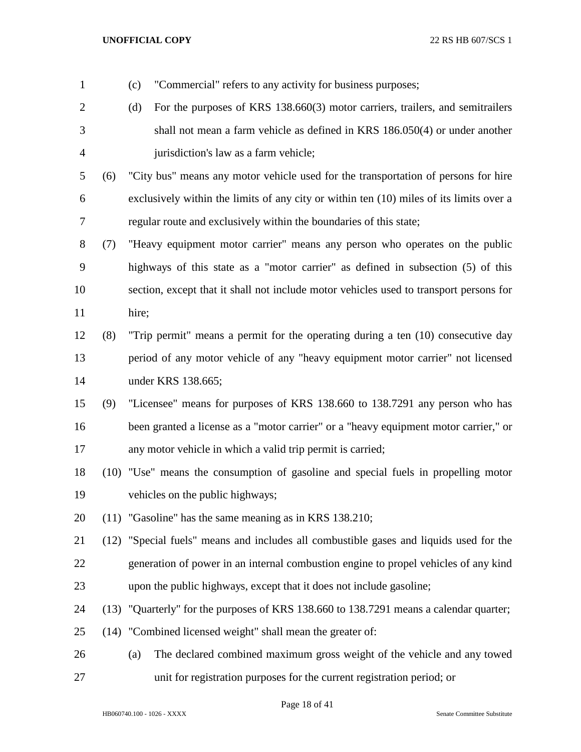| $\mathbf{1}$   |     | "Commercial" refers to any activity for business purposes;<br>(c)                       |
|----------------|-----|-----------------------------------------------------------------------------------------|
| $\overline{2}$ |     | For the purposes of KRS 138.660(3) motor carriers, trailers, and semitrailers<br>(d)    |
| 3              |     | shall not mean a farm vehicle as defined in KRS 186.050(4) or under another             |
| $\overline{4}$ |     | jurisdiction's law as a farm vehicle;                                                   |
| 5              | (6) | "City bus" means any motor vehicle used for the transportation of persons for hire      |
| 6              |     | exclusively within the limits of any city or within ten (10) miles of its limits over a |
| $\tau$         |     | regular route and exclusively within the boundaries of this state;                      |
| 8              | (7) | "Heavy equipment motor carrier" means any person who operates on the public             |
| 9              |     | highways of this state as a "motor carrier" as defined in subsection (5) of this        |
| 10             |     | section, except that it shall not include motor vehicles used to transport persons for  |
| 11             |     | hire;                                                                                   |
| 12             | (8) | "Trip permit" means a permit for the operating during a ten (10) consecutive day        |
| 13             |     | period of any motor vehicle of any "heavy equipment motor carrier" not licensed         |
| 14             |     | under KRS 138.665;                                                                      |
| 15             | (9) | "Licensee" means for purposes of KRS 138.660 to 138.7291 any person who has             |
| 16             |     | been granted a license as a "motor carrier" or a "heavy equipment motor carrier," or    |
| 17             |     | any motor vehicle in which a valid trip permit is carried;                              |
| 18             |     | (10) "Use" means the consumption of gasoline and special fuels in propelling motor      |
| 19             |     | vehicles on the public highways;                                                        |
| 20             |     | (11) "Gasoline" has the same meaning as in KRS 138.210;                                 |
| 21             |     | (12) "Special fuels" means and includes all combustible gases and liquids used for the  |
| 22             |     | generation of power in an internal combustion engine to propel vehicles of any kind     |
| 23             |     | upon the public highways, except that it does not include gasoline;                     |
| 24             |     | (13) "Quarterly" for the purposes of KRS 138.660 to 138.7291 means a calendar quarter;  |
| 25             |     | (14) "Combined licensed weight" shall mean the greater of:                              |
| 26             |     | The declared combined maximum gross weight of the vehicle and any towed<br>(a)          |
| 27             |     | unit for registration purposes for the current registration period; or                  |

Page 18 of 41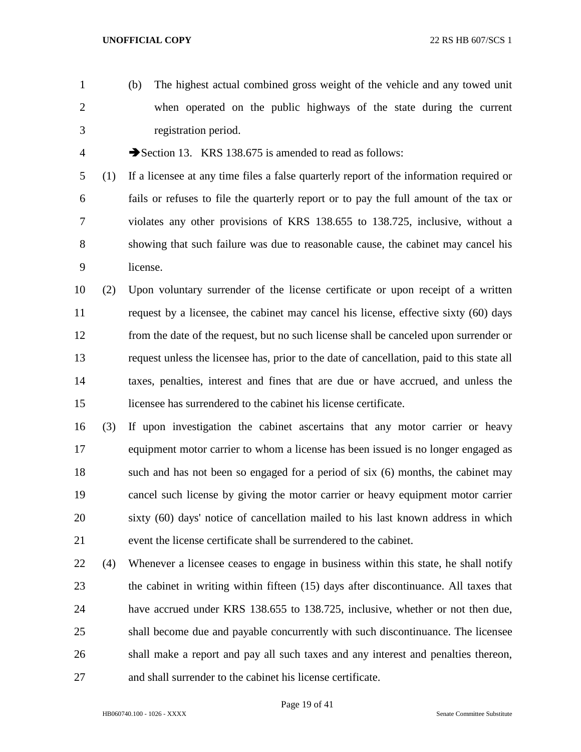(b) The highest actual combined gross weight of the vehicle and any towed unit when operated on the public highways of the state during the current registration period.

4 Section 13. KRS 138.675 is amended to read as follows:

 (1) If a licensee at any time files a false quarterly report of the information required or fails or refuses to file the quarterly report or to pay the full amount of the tax or violates any other provisions of KRS 138.655 to 138.725, inclusive, without a showing that such failure was due to reasonable cause, the cabinet may cancel his license.

 (2) Upon voluntary surrender of the license certificate or upon receipt of a written request by a licensee, the cabinet may cancel his license, effective sixty (60) days from the date of the request, but no such license shall be canceled upon surrender or request unless the licensee has, prior to the date of cancellation, paid to this state all taxes, penalties, interest and fines that are due or have accrued, and unless the licensee has surrendered to the cabinet his license certificate.

 (3) If upon investigation the cabinet ascertains that any motor carrier or heavy equipment motor carrier to whom a license has been issued is no longer engaged as such and has not been so engaged for a period of six (6) months, the cabinet may cancel such license by giving the motor carrier or heavy equipment motor carrier sixty (60) days' notice of cancellation mailed to his last known address in which event the license certificate shall be surrendered to the cabinet.

 (4) Whenever a licensee ceases to engage in business within this state, he shall notify the cabinet in writing within fifteen (15) days after discontinuance. All taxes that have accrued under KRS 138.655 to 138.725, inclusive, whether or not then due, shall become due and payable concurrently with such discontinuance. The licensee shall make a report and pay all such taxes and any interest and penalties thereon, and shall surrender to the cabinet his license certificate.

Page 19 of 41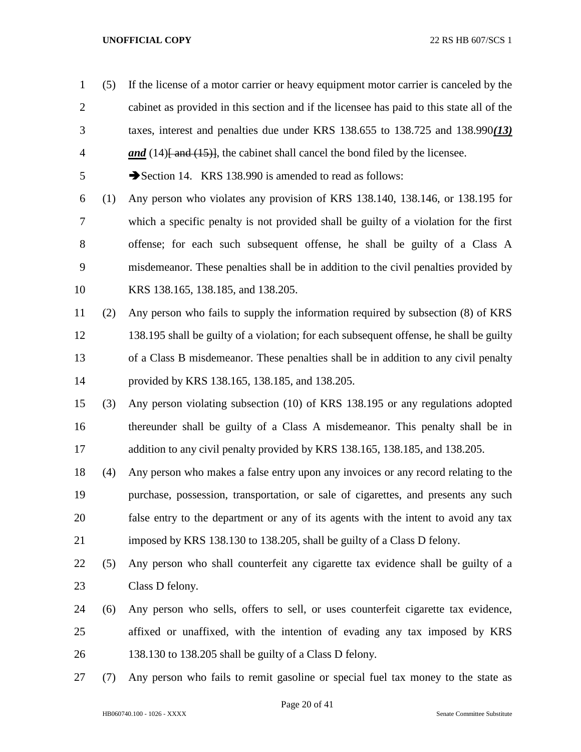(5) If the license of a motor carrier or heavy equipment motor carrier is canceled by the cabinet as provided in this section and if the licensee has paid to this state all of the taxes, interest and penalties due under KRS 138.655 to 138.725 and 138.990*(13)*  **and** (14)<del>[ and (15)]</del>, the cabinet shall cancel the bond filed by the licensee. 5 Section 14. KRS 138.990 is amended to read as follows: (1) Any person who violates any provision of KRS 138.140, 138.146, or 138.195 for which a specific penalty is not provided shall be guilty of a violation for the first offense; for each such subsequent offense, he shall be guilty of a Class A misdemeanor. These penalties shall be in addition to the civil penalties provided by KRS 138.165, 138.185, and 138.205. (2) Any person who fails to supply the information required by subsection (8) of KRS 138.195 shall be guilty of a violation; for each subsequent offense, he shall be guilty of a Class B misdemeanor. These penalties shall be in addition to any civil penalty provided by KRS 138.165, 138.185, and 138.205. (3) Any person violating subsection (10) of KRS 138.195 or any regulations adopted thereunder shall be guilty of a Class A misdemeanor. This penalty shall be in addition to any civil penalty provided by KRS 138.165, 138.185, and 138.205. (4) Any person who makes a false entry upon any invoices or any record relating to the purchase, possession, transportation, or sale of cigarettes, and presents any such false entry to the department or any of its agents with the intent to avoid any tax imposed by KRS 138.130 to 138.205, shall be guilty of a Class D felony. (5) Any person who shall counterfeit any cigarette tax evidence shall be guilty of a Class D felony. (6) Any person who sells, offers to sell, or uses counterfeit cigarette tax evidence, affixed or unaffixed, with the intention of evading any tax imposed by KRS 138.130 to 138.205 shall be guilty of a Class D felony. (7) Any person who fails to remit gasoline or special fuel tax money to the state as

Page 20 of 41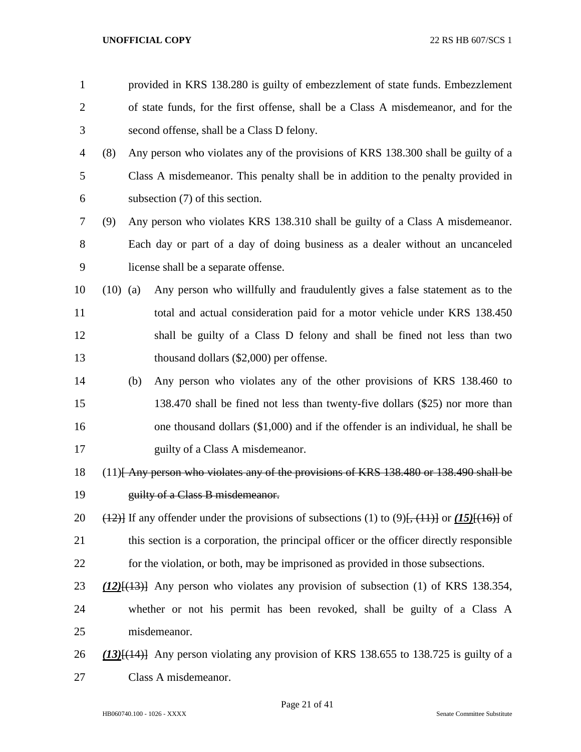| $\mathbf{1}$   |            | provided in KRS 138.280 is guilty of embezzlement of state funds. Embezzlement                                      |  |  |  |  |
|----------------|------------|---------------------------------------------------------------------------------------------------------------------|--|--|--|--|
| $\overline{2}$ |            | of state funds, for the first offense, shall be a Class A misdemeanor, and for the                                  |  |  |  |  |
| 3              |            | second offense, shall be a Class D felony.                                                                          |  |  |  |  |
| 4              | (8)        | Any person who violates any of the provisions of KRS 138.300 shall be guilty of a                                   |  |  |  |  |
| 5              |            | Class A misdemeanor. This penalty shall be in addition to the penalty provided in                                   |  |  |  |  |
| 6              |            | subsection $(7)$ of this section.                                                                                   |  |  |  |  |
| 7              | (9)        | Any person who violates KRS 138.310 shall be guilty of a Class A misdemeanor.                                       |  |  |  |  |
| 8              |            | Each day or part of a day of doing business as a dealer without an uncanceled                                       |  |  |  |  |
| 9              |            | license shall be a separate offense.                                                                                |  |  |  |  |
| 10             | $(10)$ (a) | Any person who willfully and fraudulently gives a false statement as to the                                         |  |  |  |  |
| 11             |            | total and actual consideration paid for a motor vehicle under KRS 138.450                                           |  |  |  |  |
| 12             |            | shall be guilty of a Class D felony and shall be fined not less than two                                            |  |  |  |  |
| 13             |            | thousand dollars $(\$2,000)$ per offense.                                                                           |  |  |  |  |
| 14             | (b)        | Any person who violates any of the other provisions of KRS 138.460 to                                               |  |  |  |  |
| 15             |            | 138.470 shall be fined not less than twenty-five dollars (\$25) nor more than                                       |  |  |  |  |
| 16             |            | one thousand dollars $(\$1,000)$ and if the offender is an individual, he shall be                                  |  |  |  |  |
| 17             |            | guilty of a Class A misdemeanor.                                                                                    |  |  |  |  |
| 18             |            | $(11)$ Any person who violates any of the provisions of KRS 138.480 or 138.490 shall be                             |  |  |  |  |
| 19             |            | guilty of a Class B misdemeanor.                                                                                    |  |  |  |  |
| 20             |            | $\frac{12}{12}$ If any offender under the provisions of subsections (1) to (9) <del>[, (11)]</del> or (15)[(16)] of |  |  |  |  |
| 21             |            | this section is a corporation, the principal officer or the officer directly responsible                            |  |  |  |  |
| 22             |            | for the violation, or both, may be imprisoned as provided in those subsections.                                     |  |  |  |  |
| 23             |            | $(12)$ { $(13)$ } Any person who violates any provision of subsection (1) of KRS 138.354,                           |  |  |  |  |
| 24             |            | whether or not his permit has been revoked, shall be guilty of a Class A                                            |  |  |  |  |
| 25             |            | misdemeanor.                                                                                                        |  |  |  |  |
| 26             |            | $(13)$ [ $(14)$ ] Any person violating any provision of KRS 138.655 to 138.725 is guilty of a                       |  |  |  |  |
| 27             |            | Class A misdemeanor.                                                                                                |  |  |  |  |
|                |            |                                                                                                                     |  |  |  |  |

# Page 21 of 41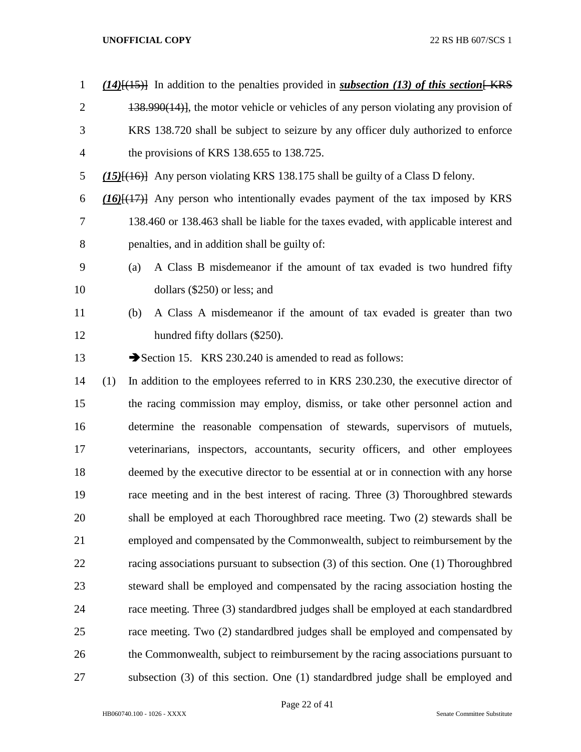| $\mathbf{1}$   | $(14)$ [(15)] In addition to the penalties provided in <i>subsection</i> (13) of this section [KRS] |
|----------------|-----------------------------------------------------------------------------------------------------|
| $\overline{2}$ | 138.990(14)], the motor vehicle or vehicles of any person violating any provision of                |
| 3              | KRS 138.720 shall be subject to seizure by any officer duly authorized to enforce                   |
| $\overline{4}$ | the provisions of KRS 138.655 to 138.725.                                                           |
| 5              | $(15)$ { $(16)$ } Any person violating KRS 138.175 shall be guilty of a Class D felony.             |
| 6              | $(16)$ $(17)$ Any person who intentionally evades payment of the tax imposed by KRS                 |
| $\overline{7}$ | 138.460 or 138.463 shall be liable for the taxes evaded, with applicable interest and               |
| 8              | penalties, and in addition shall be guilty of:                                                      |
| 9              | A Class B misdemeanor if the amount of tax evaded is two hundred fifty<br>(a)                       |
| 10             | dollars (\$250) or less; and                                                                        |
| 11             | A Class A misdemeanor if the amount of tax evaded is greater than two<br>(b)                        |
| 12             | hundred fifty dollars (\$250).                                                                      |
| 13             | Section 15. KRS 230.240 is amended to read as follows:                                              |
| 14             | In addition to the employees referred to in KRS 230.230, the executive director of<br>(1)           |
| 15             | the racing commission may employ, dismiss, or take other personnel action and                       |
| 16             | determine the reasonable compensation of stewards, supervisors of mutuels,                          |
| 17             | veterinarians, inspectors, accountants, security officers, and other employees                      |
| 18             | deemed by the executive director to be essential at or in connection with any horse                 |
| 19             | race meeting and in the best interest of racing. Three (3) Thoroughbred stewards                    |
| 20             | shall be employed at each Thoroughbred race meeting. Two (2) stewards shall be                      |
| 21             | employed and compensated by the Commonwealth, subject to reimbursement by the                       |
| 22             | racing associations pursuant to subsection $(3)$ of this section. One $(1)$ Thoroughbred            |
| 23             | steward shall be employed and compensated by the racing association hosting the                     |
| 24             | race meeting. Three (3) standardbred judges shall be employed at each standardbred                  |
| 25             | race meeting. Two (2) standardbred judges shall be employed and compensated by                      |
| 26             | the Commonwealth, subject to reimbursement by the racing associations pursuant to                   |
| 27             | subsection (3) of this section. One (1) standardbred judge shall be employed and                    |

Page 22 of 41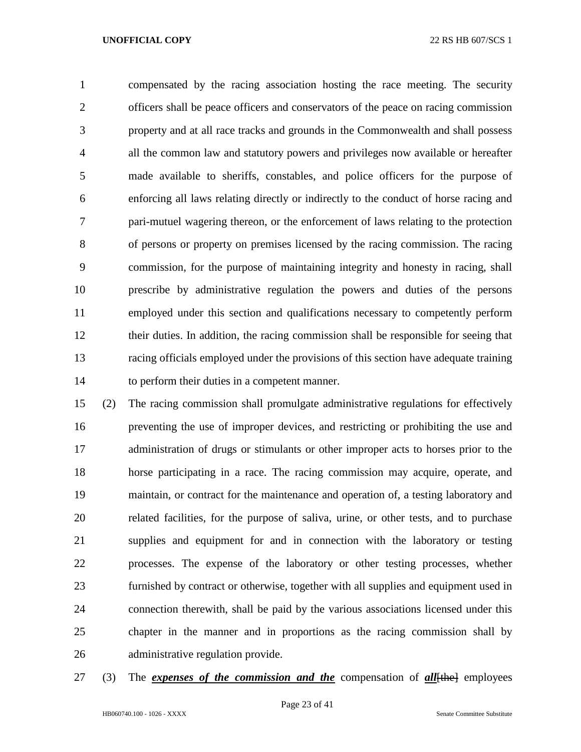compensated by the racing association hosting the race meeting. The security officers shall be peace officers and conservators of the peace on racing commission property and at all race tracks and grounds in the Commonwealth and shall possess all the common law and statutory powers and privileges now available or hereafter made available to sheriffs, constables, and police officers for the purpose of enforcing all laws relating directly or indirectly to the conduct of horse racing and pari-mutuel wagering thereon, or the enforcement of laws relating to the protection of persons or property on premises licensed by the racing commission. The racing commission, for the purpose of maintaining integrity and honesty in racing, shall prescribe by administrative regulation the powers and duties of the persons employed under this section and qualifications necessary to competently perform their duties. In addition, the racing commission shall be responsible for seeing that racing officials employed under the provisions of this section have adequate training to perform their duties in a competent manner.

 (2) The racing commission shall promulgate administrative regulations for effectively preventing the use of improper devices, and restricting or prohibiting the use and administration of drugs or stimulants or other improper acts to horses prior to the horse participating in a race. The racing commission may acquire, operate, and maintain, or contract for the maintenance and operation of, a testing laboratory and related facilities, for the purpose of saliva, urine, or other tests, and to purchase supplies and equipment for and in connection with the laboratory or testing processes. The expense of the laboratory or other testing processes, whether furnished by contract or otherwise, together with all supplies and equipment used in connection therewith, shall be paid by the various associations licensed under this chapter in the manner and in proportions as the racing commission shall by administrative regulation provide.

27 (3) The *expenses of the commission and the* compensation of *all*[the] employees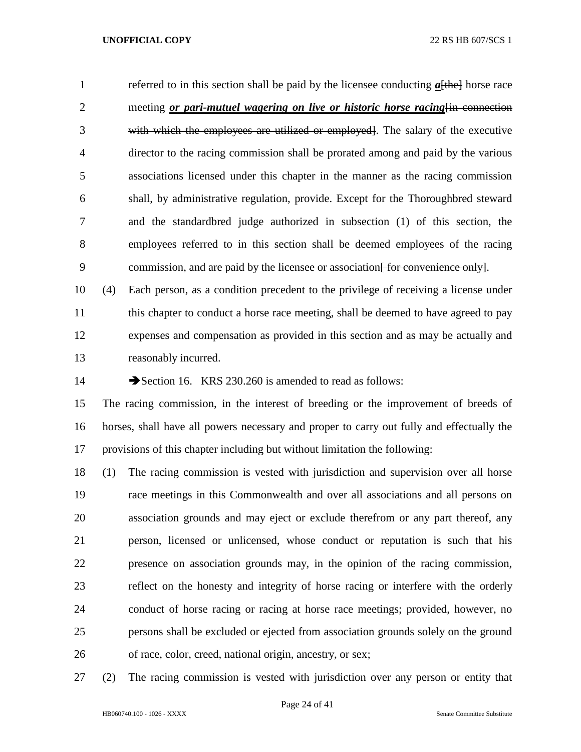1 referred to in this section shall be paid by the licensee conducting  $a$ <del>[the]</del> horse race 2 meeting *or pari-mutuel wagering on live or historic horse racing* in connection with which the employees are utilized or employed]. The salary of the executive director to the racing commission shall be prorated among and paid by the various associations licensed under this chapter in the manner as the racing commission shall, by administrative regulation, provide. Except for the Thoroughbred steward and the standardbred judge authorized in subsection (1) of this section, the employees referred to in this section shall be deemed employees of the racing 9 commission, and are paid by the licensee or association for convenience only.

 (4) Each person, as a condition precedent to the privilege of receiving a license under 11 this chapter to conduct a horse race meeting, shall be deemed to have agreed to pay expenses and compensation as provided in this section and as may be actually and reasonably incurred.

14 Section 16. KRS 230.260 is amended to read as follows:

 The racing commission, in the interest of breeding or the improvement of breeds of horses, shall have all powers necessary and proper to carry out fully and effectually the provisions of this chapter including but without limitation the following:

 (1) The racing commission is vested with jurisdiction and supervision over all horse race meetings in this Commonwealth and over all associations and all persons on association grounds and may eject or exclude therefrom or any part thereof, any person, licensed or unlicensed, whose conduct or reputation is such that his presence on association grounds may, in the opinion of the racing commission, reflect on the honesty and integrity of horse racing or interfere with the orderly conduct of horse racing or racing at horse race meetings; provided, however, no persons shall be excluded or ejected from association grounds solely on the ground of race, color, creed, national origin, ancestry, or sex;

(2) The racing commission is vested with jurisdiction over any person or entity that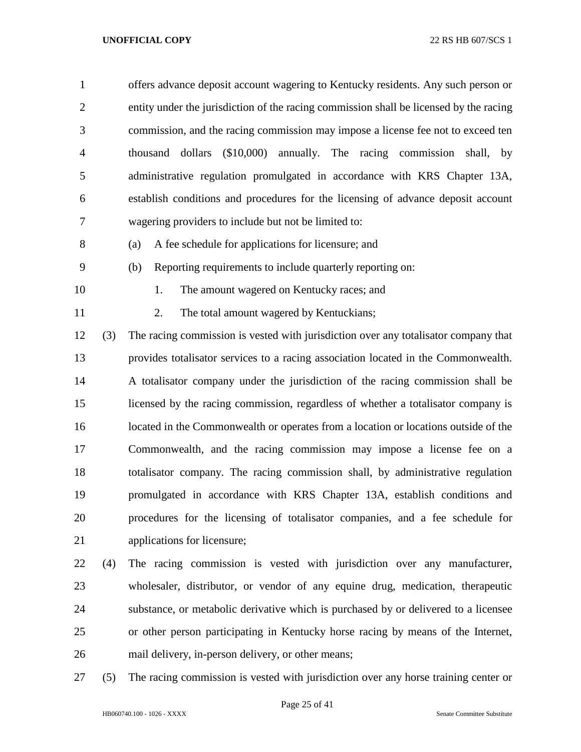| $\mathbf{1}$   |     | offers advance deposit account wagering to Kentucky residents. Any such person or      |
|----------------|-----|----------------------------------------------------------------------------------------|
| $\overline{2}$ |     | entity under the jurisdiction of the racing commission shall be licensed by the racing |
| 3              |     | commission, and the racing commission may impose a license fee not to exceed ten       |
| 4              |     | $($10,000)$ annually. The racing commission shall, by<br>thousand<br>dollars           |
| 5              |     | administrative regulation promulgated in accordance with KRS Chapter 13A,              |
| 6              |     | establish conditions and procedures for the licensing of advance deposit account       |
| 7              |     | wagering providers to include but not be limited to:                                   |
| 8              |     | A fee schedule for applications for licensure; and<br>(a)                              |
| 9              |     | Reporting requirements to include quarterly reporting on:<br>(b)                       |
| 10             |     | The amount wagered on Kentucky races; and<br>1.                                        |
| 11             |     | 2.<br>The total amount wagered by Kentuckians;                                         |
| 12             | (3) | The racing commission is vested with jurisdiction over any totalisator company that    |
| 13             |     | provides totalisator services to a racing association located in the Commonwealth.     |
| 14             |     | A totalisator company under the jurisdiction of the racing commission shall be         |
| 15             |     | licensed by the racing commission, regardless of whether a totalisator company is      |
| 16             |     | located in the Commonwealth or operates from a location or locations outside of the    |
| 17             |     | Commonwealth, and the racing commission may impose a license fee on a                  |
| 18             |     | totalisator company. The racing commission shall, by administrative regulation         |
| 19             |     | promulgated in accordance with KRS Chapter 13A, establish conditions and               |
| 20             |     | procedures for the licensing of totalisator companies, and a fee schedule for          |
| 21             |     | applications for licensure;                                                            |
| 22             | (4) | The racing commission is vested with jurisdiction over any manufacturer,               |
| 23             |     | wholesaler, distributor, or vendor of any equine drug, medication, therapeutic         |
| 24             |     | substance, or metabolic derivative which is purchased by or delivered to a licensee    |
| 25             |     | or other person participating in Kentucky horse racing by means of the Internet,       |

- mail delivery, in-person delivery, or other means;
- (5) The racing commission is vested with jurisdiction over any horse training center or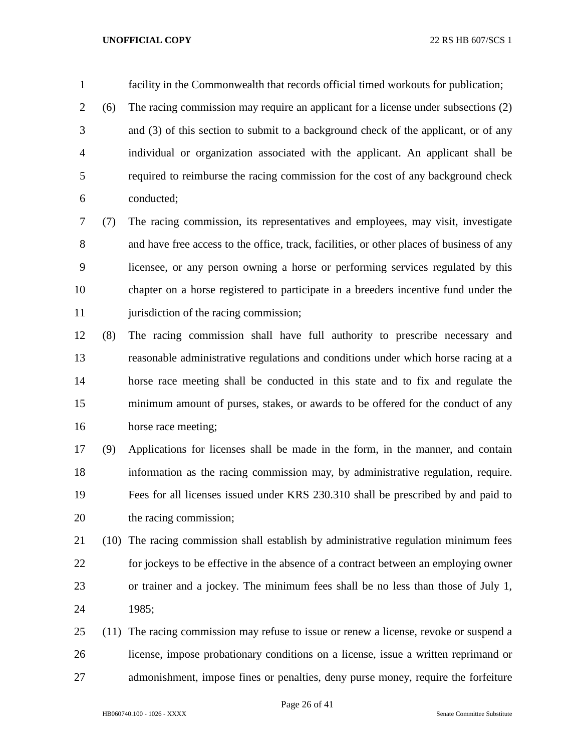facility in the Commonwealth that records official timed workouts for publication;

 (6) The racing commission may require an applicant for a license under subsections (2) and (3) of this section to submit to a background check of the applicant, or of any individual or organization associated with the applicant. An applicant shall be required to reimburse the racing commission for the cost of any background check conducted;

 (7) The racing commission, its representatives and employees, may visit, investigate and have free access to the office, track, facilities, or other places of business of any licensee, or any person owning a horse or performing services regulated by this chapter on a horse registered to participate in a breeders incentive fund under the 11 jurisdiction of the racing commission;

 (8) The racing commission shall have full authority to prescribe necessary and reasonable administrative regulations and conditions under which horse racing at a horse race meeting shall be conducted in this state and to fix and regulate the minimum amount of purses, stakes, or awards to be offered for the conduct of any horse race meeting;

 (9) Applications for licenses shall be made in the form, in the manner, and contain information as the racing commission may, by administrative regulation, require. Fees for all licenses issued under KRS 230.310 shall be prescribed by and paid to the racing commission;

- (10) The racing commission shall establish by administrative regulation minimum fees for jockeys to be effective in the absence of a contract between an employing owner or trainer and a jockey. The minimum fees shall be no less than those of July 1, 1985;
- (11) The racing commission may refuse to issue or renew a license, revoke or suspend a license, impose probationary conditions on a license, issue a written reprimand or admonishment, impose fines or penalties, deny purse money, require the forfeiture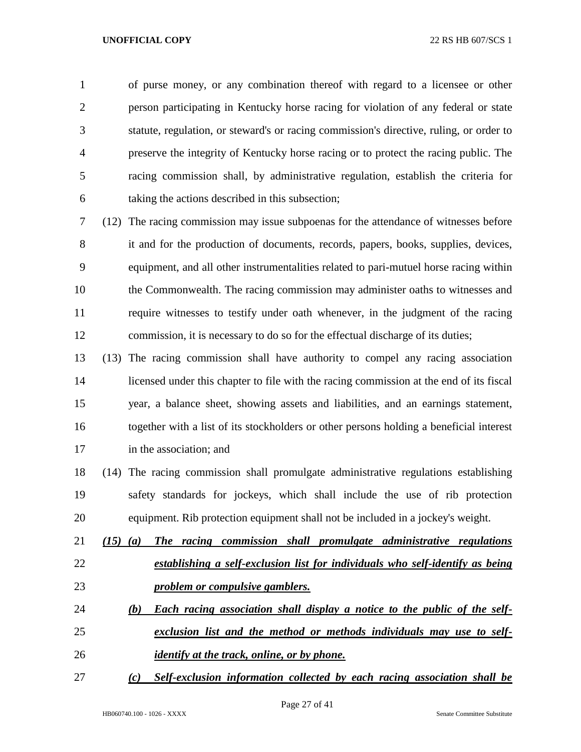of purse money, or any combination thereof with regard to a licensee or other person participating in Kentucky horse racing for violation of any federal or state statute, regulation, or steward's or racing commission's directive, ruling, or order to preserve the integrity of Kentucky horse racing or to protect the racing public. The racing commission shall, by administrative regulation, establish the criteria for taking the actions described in this subsection;

 (12) The racing commission may issue subpoenas for the attendance of witnesses before it and for the production of documents, records, papers, books, supplies, devices, equipment, and all other instrumentalities related to pari-mutuel horse racing within the Commonwealth. The racing commission may administer oaths to witnesses and require witnesses to testify under oath whenever, in the judgment of the racing commission, it is necessary to do so for the effectual discharge of its duties;

 (13) The racing commission shall have authority to compel any racing association licensed under this chapter to file with the racing commission at the end of its fiscal year, a balance sheet, showing assets and liabilities, and an earnings statement, together with a list of its stockholders or other persons holding a beneficial interest in the association; and

 (14) The racing commission shall promulgate administrative regulations establishing safety standards for jockeys, which shall include the use of rib protection equipment. Rib protection equipment shall not be included in a jockey's weight.

 *(15) (a) The racing commission shall promulgate administrative regulations establishing a self-exclusion list for individuals who self-identify as being problem or compulsive gamblers.* 

- *(b) Each racing association shall display a notice to the public of the self- exclusion list and the method or methods individuals may use to self-identify at the track, online, or by phone.*
- *(c) Self-exclusion information collected by each racing association shall be*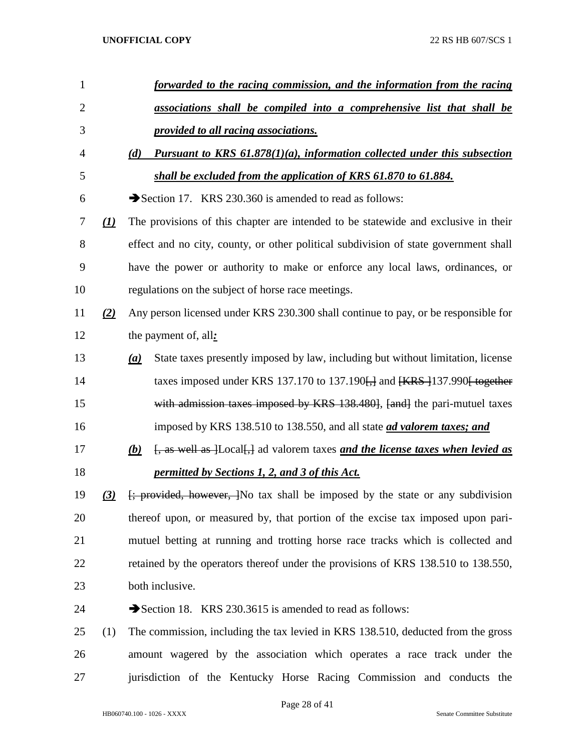| $\mathbf{1}$   |          | forwarded to the racing commission, and the information from the racing                                         |
|----------------|----------|-----------------------------------------------------------------------------------------------------------------|
| $\overline{2}$ |          | associations shall be compiled into a comprehensive list that shall be                                          |
| 3              |          | provided to all racing associations.                                                                            |
| 4              |          | <b>Pursuant to KRS 61.878(1)(a), information collected under this subsection</b><br>(d)                         |
| 5              |          | shall be excluded from the application of KRS 61.870 to 61.884.                                                 |
| 6              |          | Section 17. KRS 230.360 is amended to read as follows:                                                          |
| 7              | $\Omega$ | The provisions of this chapter are intended to be statewide and exclusive in their                              |
| 8              |          | effect and no city, county, or other political subdivision of state government shall                            |
| 9              |          | have the power or authority to make or enforce any local laws, ordinances, or                                   |
| 10             |          | regulations on the subject of horse race meetings.                                                              |
| 11             | (2)      | Any person licensed under KRS 230.300 shall continue to pay, or be responsible for                              |
| 12             |          | the payment of, all:                                                                                            |
| 13             |          | State taxes presently imposed by law, including but without limitation, license<br>(a)                          |
| 14             |          | taxes imposed under KRS 137.170 to 137.190 $\frac{1}{11}$ and $\frac{1}{18}$ [KRS $\frac{1}{137.990}$ to eather |
| 15             |          | with admission taxes imposed by KRS 138.480, [and] the pari-mutuel taxes                                        |
| 16             |          | imposed by KRS 138.510 to 138.550, and all state <i>ad valorem taxes; and</i>                                   |
| 17             |          | [, as well as ]Local[,] ad valorem taxes and the license taxes when levied as<br>(b)                            |
| 18             |          | permitted by Sections 1, 2, and 3 of this Act.                                                                  |
| 19             | (3)      | <del>[; provided, however, ]</del> No tax shall be imposed by the state or any subdivision                      |
| 20             |          | thereof upon, or measured by, that portion of the excise tax imposed upon pari-                                 |
| 21             |          | mutuel betting at running and trotting horse race tracks which is collected and                                 |
| 22             |          | retained by the operators thereof under the provisions of KRS 138.510 to 138.550,                               |
| 23             |          | both inclusive.                                                                                                 |
| 24             |          | Section 18. KRS 230.3615 is amended to read as follows:                                                         |
| 25             | (1)      | The commission, including the tax levied in KRS 138.510, deducted from the gross                                |
| 26             |          | amount wagered by the association which operates a race track under the                                         |
| 27             |          | jurisdiction of the Kentucky Horse Racing Commission and conducts the                                           |

Page 28 of 41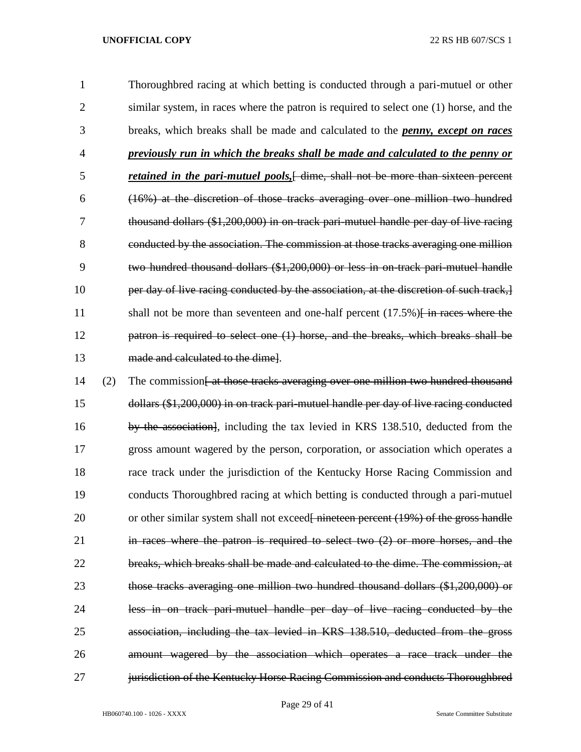Thoroughbred racing at which betting is conducted through a pari-mutuel or other 2 similar system, in races where the patron is required to select one (1) horse, and the breaks, which breaks shall be made and calculated to the *penny, except on races previously run in which the breaks shall be made and calculated to the penny or retained in the pari-mutuel pools,*[ dime, shall not be more than sixteen percent (16%) at the discretion of those tracks averaging over one million two hundred thousand dollars (\$1,200,000) in on-track pari-mutuel handle per day of live racing conducted by the association. The commission at those tracks averaging one million two hundred thousand dollars (\$1,200,000) or less in on-track pari-mutuel handle 10 per day of live racing conducted by the association, at the discretion of such track, 11 shall not be more than seventeen and one-half percent (17.5%)<del>[ in races where the</del> patron is required to select one (1) horse, and the breaks, which breaks shall be made and calculated to the dime].

14 (2) The commission<del>[ at those tracks averaging over one million two hundred thousand</del> dollars (\$1,200,000) in on track pari-mutuel handle per day of live racing conducted 16 by the association, including the tax levied in KRS 138.510, deducted from the gross amount wagered by the person, corporation, or association which operates a race track under the jurisdiction of the Kentucky Horse Racing Commission and conducts Thoroughbred racing at which betting is conducted through a pari-mutuel 20 or other similar system shall not exceed<del>[ nineteen percent (19%) of the gross handle</del> in races where the patron is required to select two (2) or more horses, and the breaks, which breaks shall be made and calculated to the dime. The commission, at those tracks averaging one million two hundred thousand dollars (\$1,200,000) or less in on track pari-mutuel handle per day of live racing conducted by the association, including the tax levied in KRS 138.510, deducted from the gross amount wagered by the association which operates a race track under the **jurisdiction of the Kentucky Horse Racing Commission and conducts Thoroughbred** 

Page 29 of 41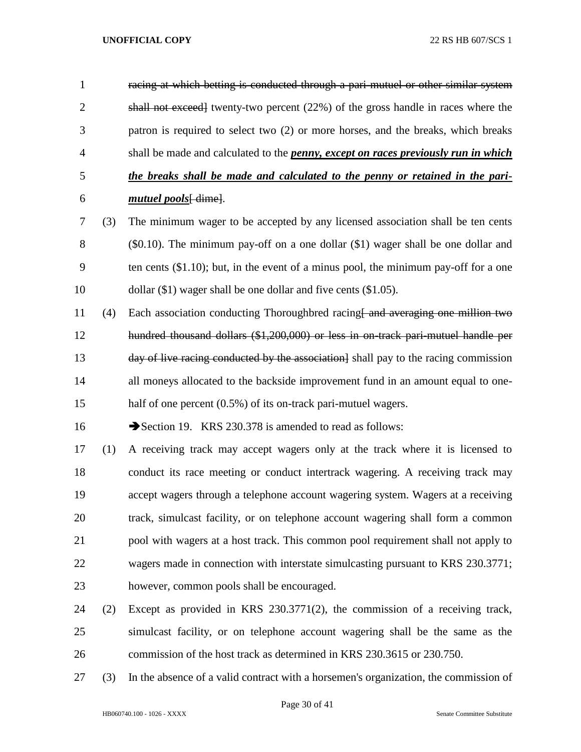racing at which betting is conducted through a pari-mutuel or other similar system 2 shall not exceed twenty-two percent (22%) of the gross handle in races where the patron is required to select two (2) or more horses, and the breaks, which breaks shall be made and calculated to the *penny, except on races previously run in which the breaks shall be made and calculated to the penny or retained in the pari-mutuel pools*[ dime].

- (3) The minimum wager to be accepted by any licensed association shall be ten cents (\$0.10). The minimum pay-off on a one dollar (\$1) wager shall be one dollar and ten cents (\$1.10); but, in the event of a minus pool, the minimum pay-off for a one dollar (\$1) wager shall be one dollar and five cents (\$1.05).
- 11 (4) Each association conducting Thoroughbred racing and averaging one million two hundred thousand dollars (\$1,200,000) or less in on-track pari-mutuel handle per 13 day of live racing conducted by the association shall pay to the racing commission all moneys allocated to the backside improvement fund in an amount equal to one-15 half of one percent (0.5%) of its on-track pari-mutuel wagers.

16 Section 19. KRS 230.378 is amended to read as follows:

- (1) A receiving track may accept wagers only at the track where it is licensed to conduct its race meeting or conduct intertrack wagering. A receiving track may accept wagers through a telephone account wagering system. Wagers at a receiving track, simulcast facility, or on telephone account wagering shall form a common pool with wagers at a host track. This common pool requirement shall not apply to wagers made in connection with interstate simulcasting pursuant to KRS 230.3771; however, common pools shall be encouraged.
- (2) Except as provided in KRS 230.3771(2), the commission of a receiving track, simulcast facility, or on telephone account wagering shall be the same as the commission of the host track as determined in KRS 230.3615 or 230.750.
- (3) In the absence of a valid contract with a horsemen's organization, the commission of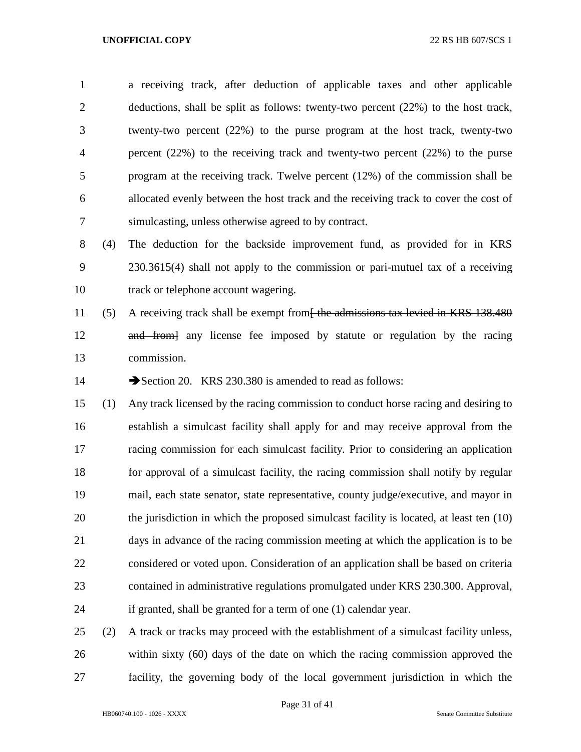a receiving track, after deduction of applicable taxes and other applicable deductions, shall be split as follows: twenty-two percent (22%) to the host track, twenty-two percent (22%) to the purse program at the host track, twenty-two percent (22%) to the receiving track and twenty-two percent (22%) to the purse program at the receiving track. Twelve percent (12%) of the commission shall be allocated evenly between the host track and the receiving track to cover the cost of simulcasting, unless otherwise agreed to by contract.

 (4) The deduction for the backside improvement fund, as provided for in KRS 230.3615(4) shall not apply to the commission or pari-mutuel tax of a receiving track or telephone account wagering.

11 (5) A receiving track shall be exempt from<del>[ the admissions tax levied in KRS 138.480</del> and from] any license fee imposed by statute or regulation by the racing commission.

14 Section 20. KRS 230.380 is amended to read as follows:

 (1) Any track licensed by the racing commission to conduct horse racing and desiring to establish a simulcast facility shall apply for and may receive approval from the racing commission for each simulcast facility. Prior to considering an application for approval of a simulcast facility, the racing commission shall notify by regular mail, each state senator, state representative, county judge/executive, and mayor in the jurisdiction in which the proposed simulcast facility is located, at least ten (10) days in advance of the racing commission meeting at which the application is to be considered or voted upon. Consideration of an application shall be based on criteria contained in administrative regulations promulgated under KRS 230.300. Approval, if granted, shall be granted for a term of one (1) calendar year.

 (2) A track or tracks may proceed with the establishment of a simulcast facility unless, within sixty (60) days of the date on which the racing commission approved the facility, the governing body of the local government jurisdiction in which the

Page 31 of 41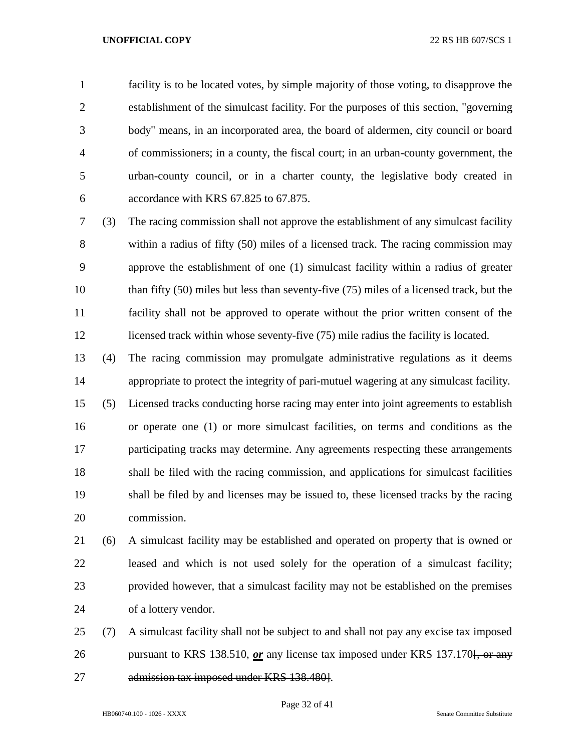facility is to be located votes, by simple majority of those voting, to disapprove the establishment of the simulcast facility. For the purposes of this section, "governing body" means, in an incorporated area, the board of aldermen, city council or board of commissioners; in a county, the fiscal court; in an urban-county government, the urban-county council, or in a charter county, the legislative body created in accordance with KRS 67.825 to 67.875.

 (3) The racing commission shall not approve the establishment of any simulcast facility within a radius of fifty (50) miles of a licensed track. The racing commission may approve the establishment of one (1) simulcast facility within a radius of greater than fifty (50) miles but less than seventy-five (75) miles of a licensed track, but the facility shall not be approved to operate without the prior written consent of the 12 licensed track within whose seventy-five (75) mile radius the facility is located.

 (4) The racing commission may promulgate administrative regulations as it deems appropriate to protect the integrity of pari-mutuel wagering at any simulcast facility.

 (5) Licensed tracks conducting horse racing may enter into joint agreements to establish or operate one (1) or more simulcast facilities, on terms and conditions as the participating tracks may determine. Any agreements respecting these arrangements shall be filed with the racing commission, and applications for simulcast facilities shall be filed by and licenses may be issued to, these licensed tracks by the racing commission.

 (6) A simulcast facility may be established and operated on property that is owned or leased and which is not used solely for the operation of a simulcast facility; provided however, that a simulcast facility may not be established on the premises of a lottery vendor.

 (7) A simulcast facility shall not be subject to and shall not pay any excise tax imposed 26 pursuant to KRS 138.510, *or* any license tax imposed under KRS 137.170<del>. or any</del> admission tax imposed under KRS 138.480].

Page 32 of 41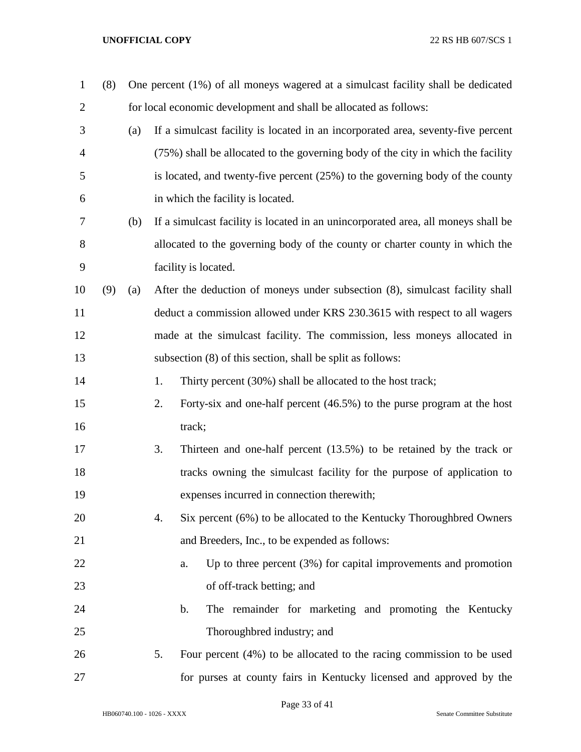| $\mathbf{1}$   | (8) |     | One percent (1%) of all moneys wagered at a simulcast facility shall be dedicated |                                                                                   |  |  |  |
|----------------|-----|-----|-----------------------------------------------------------------------------------|-----------------------------------------------------------------------------------|--|--|--|
| $\overline{2}$ |     |     | for local economic development and shall be allocated as follows:                 |                                                                                   |  |  |  |
| 3              |     | (a) |                                                                                   | If a simulcast facility is located in an incorporated area, seventy-five percent  |  |  |  |
| 4              |     |     |                                                                                   | (75%) shall be allocated to the governing body of the city in which the facility  |  |  |  |
| 5              |     |     |                                                                                   | is located, and twenty-five percent (25%) to the governing body of the county     |  |  |  |
| 6              |     |     |                                                                                   | in which the facility is located.                                                 |  |  |  |
| 7              |     | (b) |                                                                                   | If a simulcast facility is located in an unincorporated area, all moneys shall be |  |  |  |
| 8              |     |     |                                                                                   | allocated to the governing body of the county or charter county in which the      |  |  |  |
| 9              |     |     |                                                                                   | facility is located.                                                              |  |  |  |
| 10             | (9) | (a) |                                                                                   | After the deduction of moneys under subsection (8), simulcast facility shall      |  |  |  |
| 11             |     |     |                                                                                   | deduct a commission allowed under KRS 230.3615 with respect to all wagers         |  |  |  |
| 12             |     |     |                                                                                   | made at the simulcast facility. The commission, less moneys allocated in          |  |  |  |
| 13             |     |     |                                                                                   | subsection (8) of this section, shall be split as follows:                        |  |  |  |
| 14             |     |     | 1.                                                                                | Thirty percent (30%) shall be allocated to the host track;                        |  |  |  |
| 15             |     |     | 2.                                                                                | Forty-six and one-half percent (46.5%) to the purse program at the host           |  |  |  |
| 16             |     |     |                                                                                   | track;                                                                            |  |  |  |
| 17             |     |     | 3.                                                                                | Thirteen and one-half percent $(13.5\%)$ to be retained by the track or           |  |  |  |
| 18             |     |     |                                                                                   | tracks owning the simulcast facility for the purpose of application to            |  |  |  |
| 19             |     |     |                                                                                   | expenses incurred in connection therewith;                                        |  |  |  |
| 20             |     |     | 4.                                                                                | Six percent (6%) to be allocated to the Kentucky Thoroughbred Owners              |  |  |  |
| 21             |     |     |                                                                                   | and Breeders, Inc., to be expended as follows:                                    |  |  |  |
| 22             |     |     |                                                                                   | Up to three percent $(3%)$ for capital improvements and promotion<br>a.           |  |  |  |
| 23             |     |     |                                                                                   | of off-track betting; and                                                         |  |  |  |
| 24             |     |     |                                                                                   | b.<br>The remainder for marketing and promoting the Kentucky                      |  |  |  |
| 25             |     |     |                                                                                   | Thoroughbred industry; and                                                        |  |  |  |
| 26             |     |     | 5.                                                                                | Four percent $(4%)$ to be allocated to the racing commission to be used           |  |  |  |
| 27             |     |     |                                                                                   | for purses at county fairs in Kentucky licensed and approved by the               |  |  |  |

Page 33 of 41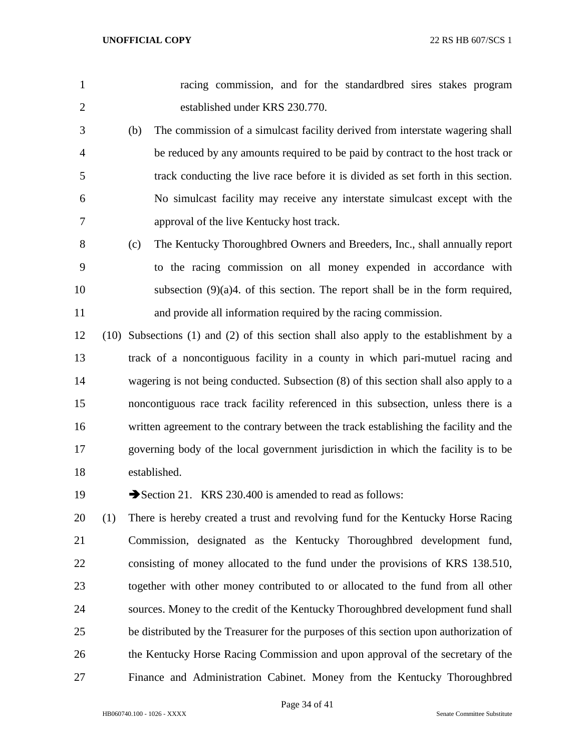| $\mathbf{1}$   |      | racing commission, and for the standardbred sires stakes program                      |
|----------------|------|---------------------------------------------------------------------------------------|
| $\overline{2}$ |      | established under KRS 230.770.                                                        |
| 3              | (b)  | The commission of a simulcast facility derived from interstate wagering shall         |
| 4              |      | be reduced by any amounts required to be paid by contract to the host track or        |
| 5              |      | track conducting the live race before it is divided as set forth in this section.     |
| 6              |      | No simulcast facility may receive any interstate simulcast except with the            |
| 7              |      | approval of the live Kentucky host track.                                             |
| 8              | (c)  | The Kentucky Thoroughbred Owners and Breeders, Inc., shall annually report            |
| 9              |      | to the racing commission on all money expended in accordance with                     |
| 10             |      | subsection $(9)(a)4$ . of this section. The report shall be in the form required,     |
| 11             |      | and provide all information required by the racing commission.                        |
| 12             | (10) | Subsections (1) and (2) of this section shall also apply to the establishment by a    |
| 13             |      | track of a noncontiguous facility in a county in which pari-mutuel racing and         |
| 14             |      | wagering is not being conducted. Subsection (8) of this section shall also apply to a |
| 15             |      | noncontiguous race track facility referenced in this subsection, unless there is a    |
| 16             |      | written agreement to the contrary between the track establishing the facility and the |
| 17             |      | governing body of the local government jurisdiction in which the facility is to be    |
| 18             |      | established.                                                                          |
|                |      |                                                                                       |

19 Section 21. KRS 230.400 is amended to read as follows:

 (1) There is hereby created a trust and revolving fund for the Kentucky Horse Racing Commission, designated as the Kentucky Thoroughbred development fund, consisting of money allocated to the fund under the provisions of KRS 138.510, together with other money contributed to or allocated to the fund from all other sources. Money to the credit of the Kentucky Thoroughbred development fund shall be distributed by the Treasurer for the purposes of this section upon authorization of the Kentucky Horse Racing Commission and upon approval of the secretary of the Finance and Administration Cabinet. Money from the Kentucky Thoroughbred

Page 34 of 41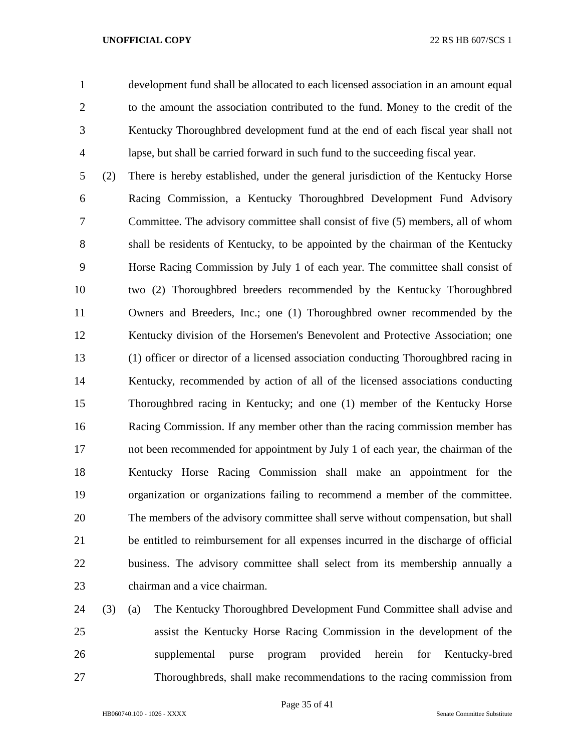development fund shall be allocated to each licensed association in an amount equal to the amount the association contributed to the fund. Money to the credit of the Kentucky Thoroughbred development fund at the end of each fiscal year shall not lapse, but shall be carried forward in such fund to the succeeding fiscal year.

 (2) There is hereby established, under the general jurisdiction of the Kentucky Horse Racing Commission, a Kentucky Thoroughbred Development Fund Advisory Committee. The advisory committee shall consist of five (5) members, all of whom shall be residents of Kentucky, to be appointed by the chairman of the Kentucky Horse Racing Commission by July 1 of each year. The committee shall consist of two (2) Thoroughbred breeders recommended by the Kentucky Thoroughbred Owners and Breeders, Inc.; one (1) Thoroughbred owner recommended by the Kentucky division of the Horsemen's Benevolent and Protective Association; one (1) officer or director of a licensed association conducting Thoroughbred racing in Kentucky, recommended by action of all of the licensed associations conducting Thoroughbred racing in Kentucky; and one (1) member of the Kentucky Horse Racing Commission. If any member other than the racing commission member has not been recommended for appointment by July 1 of each year, the chairman of the Kentucky Horse Racing Commission shall make an appointment for the organization or organizations failing to recommend a member of the committee. The members of the advisory committee shall serve without compensation, but shall be entitled to reimbursement for all expenses incurred in the discharge of official business. The advisory committee shall select from its membership annually a chairman and a vice chairman.

 (3) (a) The Kentucky Thoroughbred Development Fund Committee shall advise and assist the Kentucky Horse Racing Commission in the development of the supplemental purse program provided herein for Kentucky-bred Thoroughbreds, shall make recommendations to the racing commission from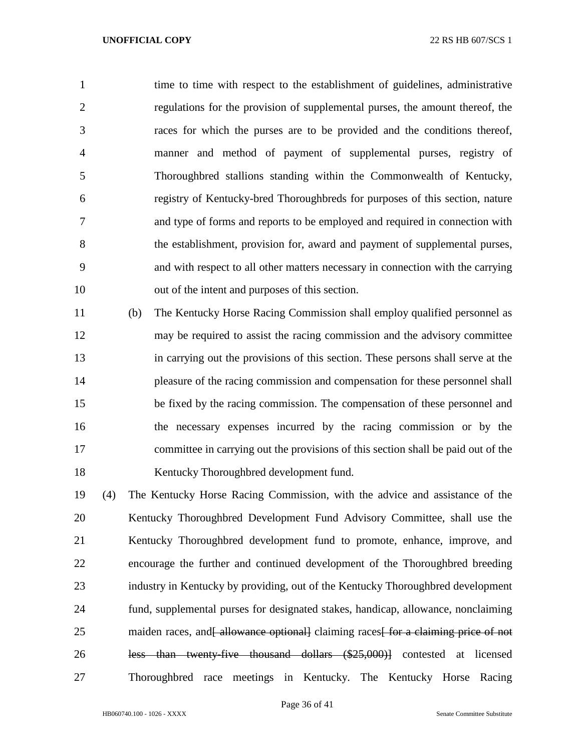time to time with respect to the establishment of guidelines, administrative regulations for the provision of supplemental purses, the amount thereof, the races for which the purses are to be provided and the conditions thereof, manner and method of payment of supplemental purses, registry of Thoroughbred stallions standing within the Commonwealth of Kentucky, registry of Kentucky-bred Thoroughbreds for purposes of this section, nature and type of forms and reports to be employed and required in connection with the establishment, provision for, award and payment of supplemental purses, and with respect to all other matters necessary in connection with the carrying out of the intent and purposes of this section.

 (b) The Kentucky Horse Racing Commission shall employ qualified personnel as may be required to assist the racing commission and the advisory committee in carrying out the provisions of this section. These persons shall serve at the pleasure of the racing commission and compensation for these personnel shall be fixed by the racing commission. The compensation of these personnel and the necessary expenses incurred by the racing commission or by the committee in carrying out the provisions of this section shall be paid out of the Kentucky Thoroughbred development fund.

 (4) The Kentucky Horse Racing Commission, with the advice and assistance of the Kentucky Thoroughbred Development Fund Advisory Committee, shall use the Kentucky Thoroughbred development fund to promote, enhance, improve, and encourage the further and continued development of the Thoroughbred breeding industry in Kentucky by providing, out of the Kentucky Thoroughbred development fund, supplemental purses for designated stakes, handicap, allowance, nonclaiming 25 maiden races, and allowance optionall claiming races for a claiming price of not less than twenty-five thousand dollars (\$25,000)] contested at licensed Thoroughbred race meetings in Kentucky. The Kentucky Horse Racing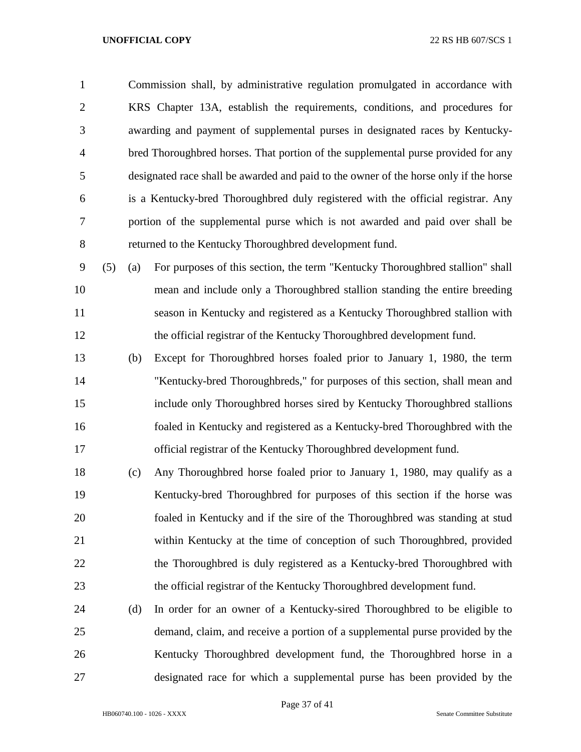Commission shall, by administrative regulation promulgated in accordance with KRS Chapter 13A, establish the requirements, conditions, and procedures for awarding and payment of supplemental purses in designated races by Kentucky- bred Thoroughbred horses. That portion of the supplemental purse provided for any designated race shall be awarded and paid to the owner of the horse only if the horse is a Kentucky-bred Thoroughbred duly registered with the official registrar. Any portion of the supplemental purse which is not awarded and paid over shall be returned to the Kentucky Thoroughbred development fund.

 (5) (a) For purposes of this section, the term "Kentucky Thoroughbred stallion" shall mean and include only a Thoroughbred stallion standing the entire breeding season in Kentucky and registered as a Kentucky Thoroughbred stallion with the official registrar of the Kentucky Thoroughbred development fund.

- (b) Except for Thoroughbred horses foaled prior to January 1, 1980, the term "Kentucky-bred Thoroughbreds," for purposes of this section, shall mean and include only Thoroughbred horses sired by Kentucky Thoroughbred stallions foaled in Kentucky and registered as a Kentucky-bred Thoroughbred with the official registrar of the Kentucky Thoroughbred development fund.
- (c) Any Thoroughbred horse foaled prior to January 1, 1980, may qualify as a Kentucky-bred Thoroughbred for purposes of this section if the horse was foaled in Kentucky and if the sire of the Thoroughbred was standing at stud within Kentucky at the time of conception of such Thoroughbred, provided 22 the Thoroughbred is duly registered as a Kentucky-bred Thoroughbred with the official registrar of the Kentucky Thoroughbred development fund.
- (d) In order for an owner of a Kentucky-sired Thoroughbred to be eligible to demand, claim, and receive a portion of a supplemental purse provided by the Kentucky Thoroughbred development fund, the Thoroughbred horse in a designated race for which a supplemental purse has been provided by the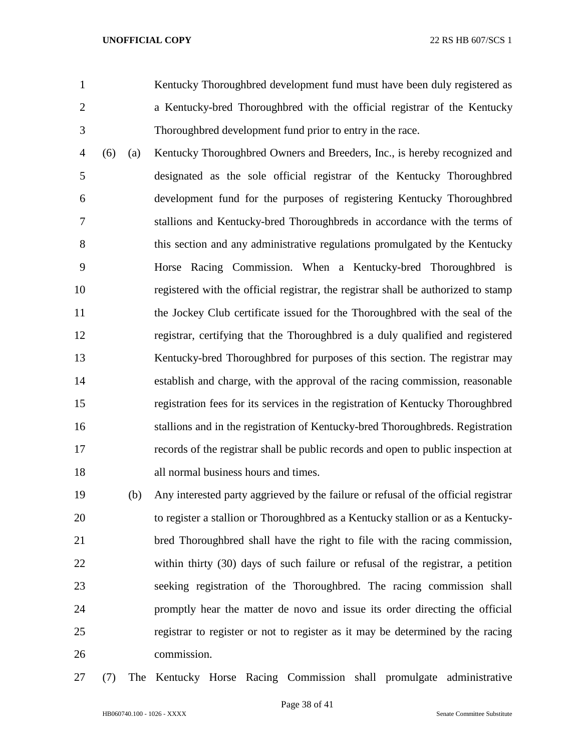Kentucky Thoroughbred development fund must have been duly registered as a Kentucky-bred Thoroughbred with the official registrar of the Kentucky Thoroughbred development fund prior to entry in the race.

 (6) (a) Kentucky Thoroughbred Owners and Breeders, Inc., is hereby recognized and designated as the sole official registrar of the Kentucky Thoroughbred development fund for the purposes of registering Kentucky Thoroughbred stallions and Kentucky-bred Thoroughbreds in accordance with the terms of this section and any administrative regulations promulgated by the Kentucky Horse Racing Commission. When a Kentucky-bred Thoroughbred is registered with the official registrar, the registrar shall be authorized to stamp the Jockey Club certificate issued for the Thoroughbred with the seal of the registrar, certifying that the Thoroughbred is a duly qualified and registered Kentucky-bred Thoroughbred for purposes of this section. The registrar may establish and charge, with the approval of the racing commission, reasonable registration fees for its services in the registration of Kentucky Thoroughbred stallions and in the registration of Kentucky-bred Thoroughbreds. Registration records of the registrar shall be public records and open to public inspection at all normal business hours and times.

 (b) Any interested party aggrieved by the failure or refusal of the official registrar to register a stallion or Thoroughbred as a Kentucky stallion or as a Kentucky- bred Thoroughbred shall have the right to file with the racing commission, within thirty (30) days of such failure or refusal of the registrar, a petition seeking registration of the Thoroughbred. The racing commission shall promptly hear the matter de novo and issue its order directing the official registrar to register or not to register as it may be determined by the racing commission.

(7) The Kentucky Horse Racing Commission shall promulgate administrative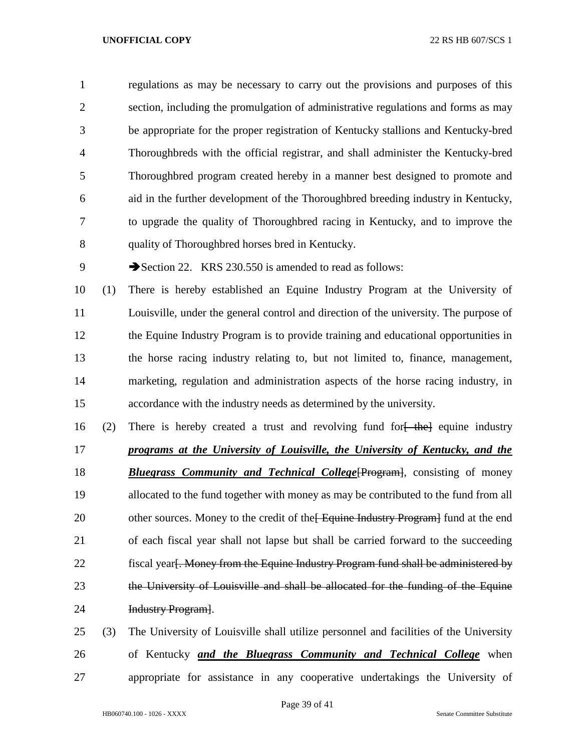regulations as may be necessary to carry out the provisions and purposes of this section, including the promulgation of administrative regulations and forms as may be appropriate for the proper registration of Kentucky stallions and Kentucky-bred Thoroughbreds with the official registrar, and shall administer the Kentucky-bred Thoroughbred program created hereby in a manner best designed to promote and aid in the further development of the Thoroughbred breeding industry in Kentucky, to upgrade the quality of Thoroughbred racing in Kentucky, and to improve the quality of Thoroughbred horses bred in Kentucky.

9 Section 22. KRS 230.550 is amended to read as follows:

 (1) There is hereby established an Equine Industry Program at the University of Louisville, under the general control and direction of the university. The purpose of the Equine Industry Program is to provide training and educational opportunities in the horse racing industry relating to, but not limited to, finance, management, marketing, regulation and administration aspects of the horse racing industry, in accordance with the industry needs as determined by the university.

16 (2) There is hereby created a trust and revolving fund for  $\frac{1}{2}$  the equine industry *programs at the University of Louisville, the University of Kentucky, and the Bluegrass Community and Technical College*[Program], consisting of money allocated to the fund together with money as may be contributed to the fund from all 20 other sources. Money to the credit of the Equine Industry Program I fund at the end of each fiscal year shall not lapse but shall be carried forward to the succeeding 22 fiscal year. Money from the Equine Industry Program fund shall be administered by 23 the University of Louisville and shall be allocated for the funding of the Equine Industry Program].

 (3) The University of Louisville shall utilize personnel and facilities of the University of Kentucky *and the Bluegrass Community and Technical College* when appropriate for assistance in any cooperative undertakings the University of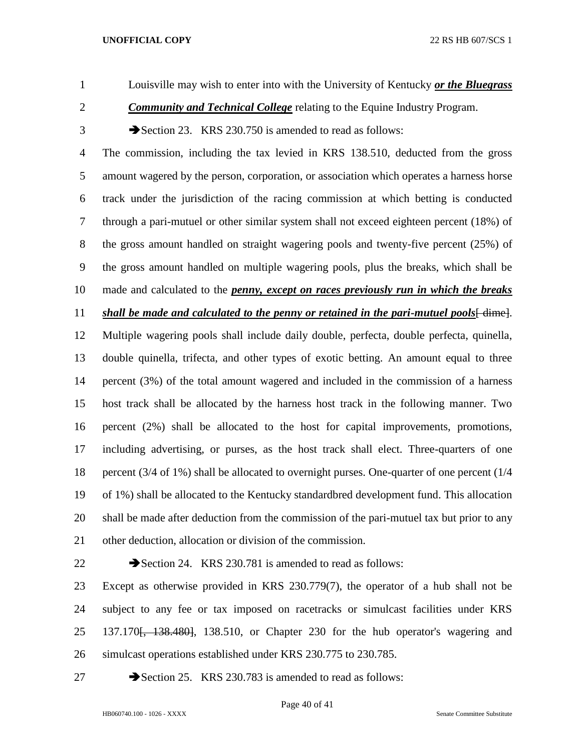Louisville may wish to enter into with the University of Kentucky *or the Bluegrass* 

**Community and Technical College** relating to the Equine Industry Program.

3 Section 23. KRS 230.750 is amended to read as follows:

 The commission, including the tax levied in KRS 138.510, deducted from the gross amount wagered by the person, corporation, or association which operates a harness horse track under the jurisdiction of the racing commission at which betting is conducted through a pari-mutuel or other similar system shall not exceed eighteen percent (18%) of the gross amount handled on straight wagering pools and twenty-five percent (25%) of the gross amount handled on multiple wagering pools, plus the breaks, which shall be made and calculated to the *penny, except on races previously run in which the breaks shall be made and calculated to the penny or retained in the pari-mutuel pools*[dime]. Multiple wagering pools shall include daily double, perfecta, double perfecta, quinella, double quinella, trifecta, and other types of exotic betting. An amount equal to three percent (3%) of the total amount wagered and included in the commission of a harness host track shall be allocated by the harness host track in the following manner. Two percent (2%) shall be allocated to the host for capital improvements, promotions, including advertising, or purses, as the host track shall elect. Three-quarters of one percent (3/4 of 1%) shall be allocated to overnight purses. One-quarter of one percent (1/4 of 1%) shall be allocated to the Kentucky standardbred development fund. This allocation shall be made after deduction from the commission of the pari-mutuel tax but prior to any other deduction, allocation or division of the commission.

22 Section 24. KRS 230.781 is amended to read as follows:

 Except as otherwise provided in KRS 230.779(7), the operator of a hub shall not be subject to any fee or tax imposed on racetracks or simulcast facilities under KRS 25 137.170<del>, 138.480</del>, 138.510, or Chapter 230 for the hub operator's wagering and simulcast operations established under KRS 230.775 to 230.785.

27 Section 25. KRS 230.783 is amended to read as follows: